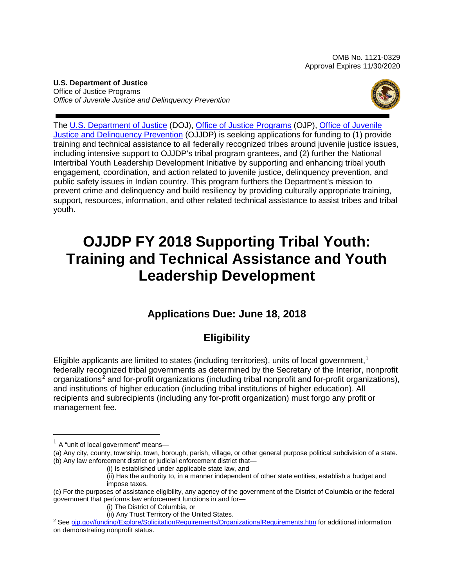OMB No. 1121-0329 Approval Expires 11/30/2020

**U.S. Department of Justice** Office of Justice Programs *Office of Juvenile Justice and Delinquency Prevention* 



The [U.S. Department of](https://www.usdoj.gov/) Justice (DOJ), [Office of Justice Programs](https://ojp.gov/) (OJP), [Office of Juvenile](https://www.ojjdp.gov/)  [Justice and Delinquency Prevention](https://www.ojjdp.gov/) (OJJDP) is seeking applications for funding to (1) provide training and technical assistance to all federally recognized tribes around juvenile justice issues, including intensive support to OJJDP's tribal program grantees, and (2) further the National Intertribal Youth Leadership Development Initiative by supporting and enhancing tribal youth engagement, coordination, and action related to juvenile justice, delinquency prevention, and public safety issues in Indian country. This program furthers the Department's mission to prevent crime and delinquency and build resiliency by providing culturally appropriate training, support, resources, information, and other related technical assistance to assist tribes and tribal youth.

# **OJJDP FY 2018 Supporting Tribal Youth: Training and Technical Assistance and Youth Leadership Development**

# **Applications Due: June 18, 2018**

# **Eligibility**

Eligible applicants are limited to states (including territories), units of local government, [1](#page-0-0) federally recognized tribal governments as determined by the Secretary of the Interior, nonprofit organizations<sup>[2](#page-0-1)</sup> and for-profit organizations (including tribal nonprofit and for-profit organizations), and institutions of higher education (including tribal institutions of higher education). All recipients and subrecipients (including any for-profit organization) must forgo any profit or management fee.

<span id="page-0-0"></span> $<sup>1</sup>$  A "unit of local government" means-</sup>

<sup>(</sup>a) Any city, county, township, town, borough, parish, village, or other general purpose political subdivision of a state. (b) Any law enforcement district or judicial enforcement district that—

<sup>(</sup>i) Is established under applicable state law, and

<sup>(</sup>ii) Has the authority to, in a manner independent of other state entities, establish a budget and impose taxes.

<sup>(</sup>c) For the purposes of assistance eligibility, any agency of the government of the District of Columbia or the federal government that performs law enforcement functions in and for—

<sup>(</sup>i) The District of Columbia, or

<sup>(</sup>ii) Any Trust Territory of the United States.

<span id="page-0-1"></span><sup>2</sup> See [ojp.gov/funding/Explore/SolicitationRequirements/OrganizationalRequirements.htm](https://ojp.gov/funding/Explore/SolicitationRequirements/OrganizationalRequirements.htm) for additional information on demonstrating nonprofit status.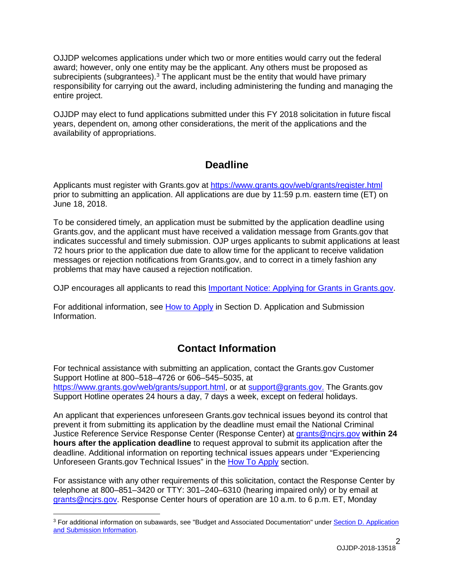OJJDP welcomes applications under which two or more entities would carry out the federal award; however, only one entity may be the applicant. Any others must be proposed as subrecipients (subgrantees).<sup>[3](#page-1-0)</sup> The applicant must be the entity that would have primary responsibility for carrying out the award, including administering the funding and managing the entire project.

OJJDP may elect to fund applications submitted under this FY 2018 solicitation in future fiscal years, dependent on, among other considerations, the merit of the applications and the availability of appropriations.

# **Deadline**

Applicants must register with Grants.gov at <https://www.grants.gov/web/grants/register.html> prior to submitting an application. All applications are due by 11:59 p.m. eastern time (ET) on June 18, 2018.

To be considered timely, an application must be submitted by the application deadline using Grants.gov, and the applicant must have received a validation message from Grants.gov that indicates successful and timely submission. OJP urges applicants to submit applications at least 72 hours prior to the application due date to allow time for the applicant to receive validation messages or rejection notifications from Grants.gov, and to correct in a timely fashion any problems that may have caused a rejection notification.

OJP encourages all applicants to read this [Important Notice: Applying](https://ojp.gov/funding/Apply/Grants-govInfo.htm) for Grants in Grants.gov.

For additional information, see How [to Apply](#page-27-0) in Section [D. Application and Submission](#page-15-0)  [Information.](#page-15-0)

# **Contact Information**

For technical assistance with submitting an application, contact the Grants.gov Customer Support Hotline at 800–518–4726 or 606–545–5035, at [https://www.grants.gov/web/grants/support.html,](https://www.grants.gov/web/grants/support.html) or at [support@grants.gov.](mailto:support@grants.gov) The Grants.gov Support Hotline operates 24 hours a day, 7 days a week, except on federal holidays.

An applicant that experiences unforeseen Grants.gov technical issues beyond its control that prevent it from submitting its application by the deadline must email the National Criminal Justice Reference Service Response Center (Response Center) at [grants@ncjrs.gov](mailto:grants@ncjrs.gov) **within 24 hours after the application deadline** to request approval to submit its application after the deadline. Additional information on reporting technical issues appears under "Experiencing Unforeseen Grants.gov Technical Issues" in the [How To Apply](#page-27-0) section.

For assistance with any other requirements of this solicitation, contact the Response Center by telephone at 800–851–3420 or TTY: 301–240–6310 (hearing impaired only) or by email at [grants@ncjrs.gov.](mailto:grants@ncjrs.gov) Response Center hours of operation are 10 a.m. to 6 p.m. ET, Monday

<span id="page-1-0"></span><sup>3</sup> For additional information on subawards, see "Budget and Associated Documentation" under [Section D. Application](#page-15-0)  [and Submission Information.](#page-15-0)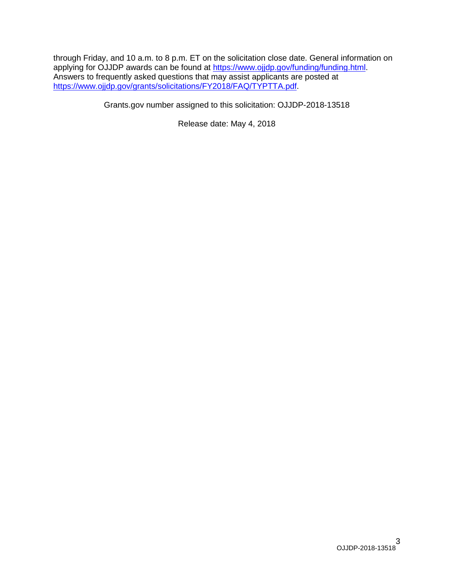through Friday, and 10 a.m. to 8 p.m. ET on the solicitation close date. General information on applying for OJJDP awards can be found at [https://www.ojjdp.gov/funding/funding.html.](https://www.ojjdp.gov/funding/funding.html) Answers to frequently asked questions that may assist applicants are posted at [https://www.ojjdp.gov/grants/solicitations/FY2018/FAQ/TYPTTA.pdf.](https://www.ojjdp.gov/grants/solicitations/FY2018/FAQ/TYPTTA.pdf)

Grants.gov number assigned to this solicitation: OJJDP-2018-13518

Release date: May 4, 2018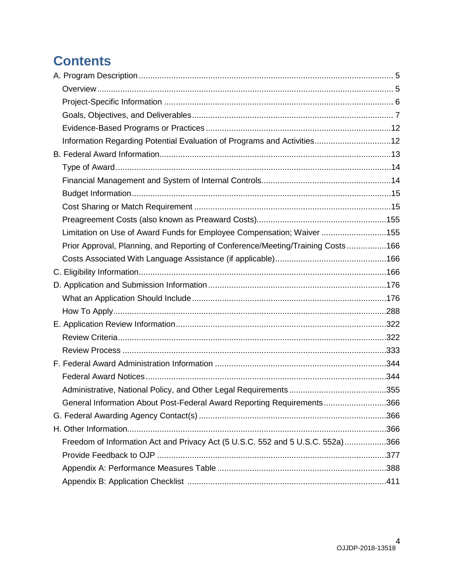# **Contents**

| Information Regarding Potential Evaluation of Programs and Activities12         |  |
|---------------------------------------------------------------------------------|--|
|                                                                                 |  |
|                                                                                 |  |
|                                                                                 |  |
|                                                                                 |  |
|                                                                                 |  |
|                                                                                 |  |
| Limitation on Use of Award Funds for Employee Compensation; Waiver 155          |  |
| Prior Approval, Planning, and Reporting of Conference/Meeting/Training Costs166 |  |
|                                                                                 |  |
|                                                                                 |  |
|                                                                                 |  |
|                                                                                 |  |
|                                                                                 |  |
|                                                                                 |  |
|                                                                                 |  |
|                                                                                 |  |
|                                                                                 |  |
|                                                                                 |  |
|                                                                                 |  |
| General Information About Post-Federal Award Reporting Requirements366          |  |
|                                                                                 |  |
|                                                                                 |  |
| Freedom of Information Act and Privacy Act (5 U.S.C. 552 and 5 U.S.C. 552a)366  |  |
|                                                                                 |  |
|                                                                                 |  |
|                                                                                 |  |
|                                                                                 |  |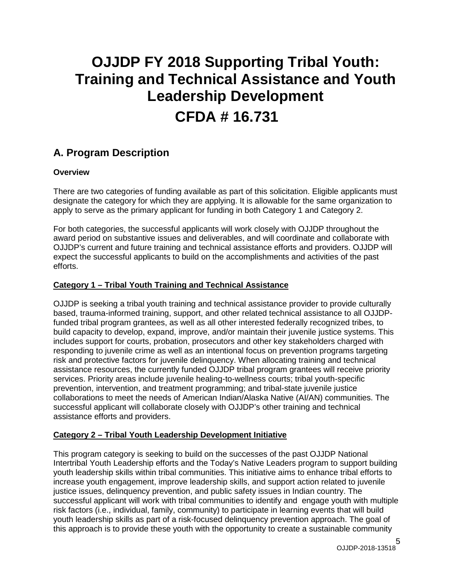# **OJJDP FY 2018 Supporting Tribal Youth: Training and Technical Assistance and Youth Leadership Development CFDA # 16.731**

# <span id="page-4-0"></span>**A. Program Description**

## <span id="page-4-1"></span>**Overview**

There are two categories of funding available as part of this solicitation. Eligible applicants must designate the category for which they are applying. It is allowable for the same organization to apply to serve as the primary applicant for funding in both Category 1 and Category 2.

For both categories, the successful applicants will work closely with OJJDP throughout the award period on substantive issues and deliverables, and will coordinate and collaborate with OJJDP's current and future training and technical assistance efforts and providers. OJJDP will expect the successful applicants to build on the accomplishments and activities of the past efforts.

## **Category 1 – Tribal Youth Training and Technical Assistance**

OJJDP is seeking a tribal youth training and technical assistance provider to provide culturally based, trauma-informed training, support, and other related technical assistance to all OJJDPfunded tribal program grantees, as well as all other interested federally recognized tribes, to build capacity to develop, expand, improve, and/or maintain their juvenile justice systems. This includes support for courts, probation, prosecutors and other key stakeholders charged with responding to juvenile crime as well as an intentional focus on prevention programs targeting risk and protective factors for juvenile delinquency. When allocating training and technical assistance resources, the currently funded OJJDP tribal program grantees will receive priority services. Priority areas include juvenile healing-to-wellness courts; tribal youth-specific prevention, intervention, and treatment programming; and tribal-state juvenile justice collaborations to meet the needs of American Indian/Alaska Native (AI/AN) communities. The successful applicant will collaborate closely with OJJDP's other training and technical assistance efforts and providers.

# **Category 2 – Tribal Youth Leadership Development Initiative**

This program category is seeking to build on the successes of the past OJJDP National Intertribal Youth Leadership efforts and the Today's Native Leaders program to support building youth leadership skills within tribal communities. This initiative aims to enhance tribal efforts to increase youth engagement, improve leadership skills, and support action related to juvenile justice issues, delinquency prevention, and public safety issues in Indian country. The successful applicant will work with tribal communities to identify and engage youth with multiple risk factors (i.e., individual, family, community) to participate in learning events that will build youth leadership skills as part of a risk-focused delinquency prevention approach. The goal of this approach is to provide these youth with the opportunity to create a sustainable community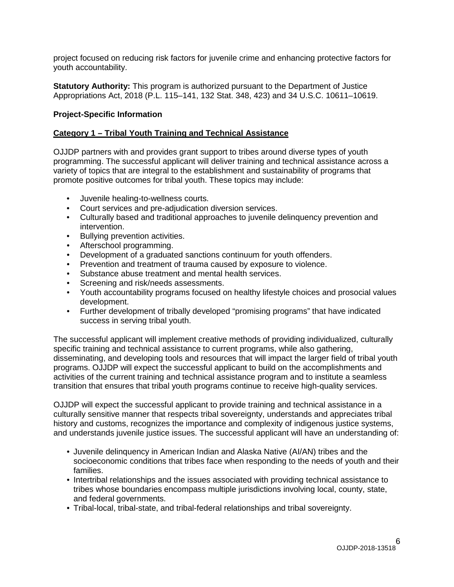project focused on reducing risk factors for juvenile crime and enhancing protective factors for youth accountability.

**Statutory Authority:** This program is authorized pursuant to the Department of Justice Appropriations Act, 2018 (P.L. 115–141, 132 Stat. 348, 423) and 34 U.S.C. 10611–10619.

## <span id="page-5-0"></span>**Project-Specific Information**

#### **Category 1 – Tribal Youth Training and Technical Assistance**

OJJDP partners with and provides grant support to tribes around diverse types of youth programming. The successful applicant will deliver training and technical assistance across a variety of topics that are integral to the establishment and sustainability of programs that promote positive outcomes for tribal youth. These topics may include:

- Juvenile healing-to-wellness courts.
- Court services and pre-adjudication diversion services.
- Culturally based and traditional approaches to juvenile delinquency prevention and intervention.
- Bullying prevention activities.
- Afterschool programming.
- Development of a graduated sanctions continuum for youth offenders.
- Prevention and treatment of trauma caused by exposure to violence.
- Substance abuse treatment and mental health services.
- Screening and risk/needs assessments.
- Youth accountability programs focused on healthy lifestyle choices and prosocial values development.
- Further development of tribally developed "promising programs" that have indicated success in serving tribal youth.

The successful applicant will implement creative methods of providing individualized, culturally specific training and technical assistance to current programs, while also gathering, disseminating, and developing tools and resources that will impact the larger field of tribal youth programs. OJJDP will expect the successful applicant to build on the accomplishments and activities of the current training and technical assistance program and to institute a seamless transition that ensures that tribal youth programs continue to receive high-quality services.

OJJDP will expect the successful applicant to provide training and technical assistance in a culturally sensitive manner that respects tribal sovereignty, understands and appreciates tribal history and customs, recognizes the importance and complexity of indigenous justice systems, and understands juvenile justice issues. The successful applicant will have an understanding of:

- Juvenile delinquency in American Indian and Alaska Native (AI/AN) tribes and the socioeconomic conditions that tribes face when responding to the needs of youth and their families.
- Intertribal relationships and the issues associated with providing technical assistance to tribes whose boundaries encompass multiple jurisdictions involving local, county, state, and federal governments.
- Tribal-local, tribal-state, and tribal-federal relationships and tribal sovereignty.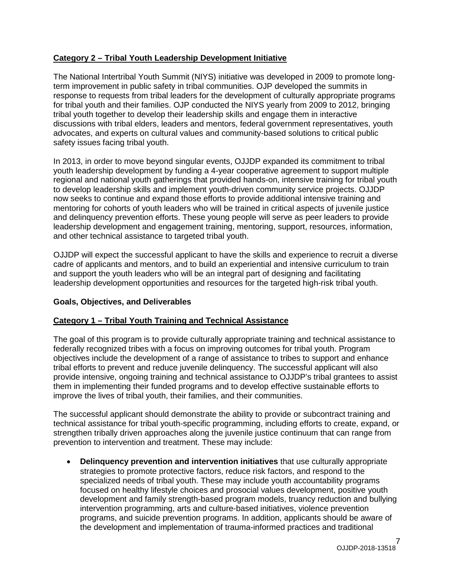# **Category 2 – Tribal Youth Leadership Development Initiative**

The National Intertribal Youth Summit (NIYS) initiative was developed in 2009 to promote longterm improvement in public safety in tribal communities. OJP developed the summits in response to requests from tribal leaders for the development of culturally appropriate programs for tribal youth and their families. OJP conducted the NIYS yearly from 2009 to 2012, bringing tribal youth together to develop their leadership skills and engage them in interactive discussions with tribal elders, leaders and mentors, federal government representatives, youth advocates, and experts on cultural values and community-based solutions to critical public safety issues facing tribal youth.

In 2013, in order to move beyond singular events, OJJDP expanded its commitment to tribal youth leadership development by funding a 4-year cooperative agreement to support multiple regional and national youth gatherings that provided hands-on, intensive training for tribal youth to develop leadership skills and implement youth-driven community service projects. OJJDP now seeks to continue and expand those efforts to provide additional intensive training and mentoring for cohorts of youth leaders who will be trained in critical aspects of juvenile justice and delinquency prevention efforts. These young people will serve as peer leaders to provide leadership development and engagement training, mentoring, support, resources, information, and other technical assistance to targeted tribal youth.

OJJDP will expect the successful applicant to have the skills and experience to recruit a diverse cadre of applicants and mentors, and to build an experiential and intensive curriculum to train and support the youth leaders who will be an integral part of designing and facilitating leadership development opportunities and resources for the targeted high-risk tribal youth.

# <span id="page-6-0"></span>**Goals, Objectives, and Deliverables**

# **Category 1 – Tribal Youth Training and Technical Assistance**

The goal of this program is to provide culturally appropriate training and technical assistance to federally recognized tribes with a focus on improving outcomes for tribal youth. Program objectives include the development of a range of assistance to tribes to support and enhance tribal efforts to prevent and reduce juvenile delinquency. The successful applicant will also provide intensive, ongoing training and technical assistance to OJJDP's tribal grantees to assist them in implementing their funded programs and to develop effective sustainable efforts to improve the lives of tribal youth, their families, and their communities.

The successful applicant should demonstrate the ability to provide or subcontract training and technical assistance for tribal youth-specific programming, including efforts to create, expand, or strengthen tribally driven approaches along the juvenile justice continuum that can range from prevention to intervention and treatment. These may include:

• **Delinquency prevention and intervention initiatives** that use culturally appropriate strategies to promote protective factors, reduce risk factors, and respond to the specialized needs of tribal youth. These may include youth accountability programs focused on healthy lifestyle choices and prosocial values development, positive youth development and family strength-based program models, truancy reduction and bullying intervention programming, arts and culture-based initiatives, violence prevention programs, and suicide prevention programs. In addition, applicants should be aware of the development and implementation of trauma-informed practices and traditional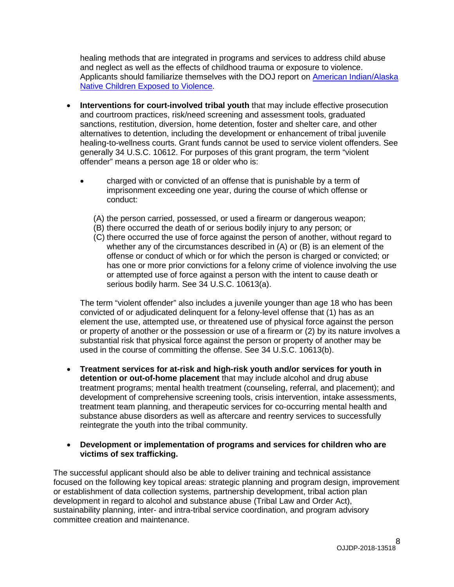healing methods that are integrated in programs and services to address child abuse and neglect as well as the effects of childhood trauma or exposure to violence. Applicants should familiarize themselves with the DOJ report on [American Indian/Alaska](https://www.justice.gov/sites/default/files/defendingchildhood/pages/attachments/2014/11/18/finalaianreport.pdf)  [Native Children Exposed to Violence.](https://www.justice.gov/sites/default/files/defendingchildhood/pages/attachments/2014/11/18/finalaianreport.pdf)

- **Interventions for court-involved tribal youth** that may include effective prosecution and courtroom practices, risk/need screening and assessment tools, graduated sanctions, restitution, diversion, home detention, foster and shelter care, and other alternatives to detention, including the development or enhancement of tribal juvenile healing-to-wellness courts. Grant funds cannot be used to service violent offenders. See generally 34 U.S.C. 10612. For purposes of this grant program, the term "violent offender" means a person age 18 or older who is:
	- charged with or convicted of an offense that is punishable by a term of imprisonment exceeding one year, during the course of which offense or conduct:
		- (A) the person carried, possessed, or used a firearm or dangerous weapon;
		- (B) there occurred the death of or serious bodily injury to any person; or
		- (C) there occurred the use of force against the person of another, without regard to whether any of the circumstances described in (A) or (B) is an element of the offense or conduct of which or for which the person is charged or convicted; or has one or more prior convictions for a felony crime of violence involving the use or attempted use of force against a person with the intent to cause death or serious bodily harm. See 34 U.S.C. 10613(a).

The term "violent offender" also includes a juvenile younger than age 18 who has been convicted of or adjudicated delinquent for a felony-level offense that (1) has as an element the use, attempted use, or threatened use of physical force against the person or property of another or the possession or use of a firearm or (2) by its nature involves a substantial risk that physical force against the person or property of another may be used in the course of committing the offense. See 34 U.S.C. 10613(b).

- **Treatment services for at-risk and high-risk youth and/or services for youth in detention or out-of-home placement** that may include alcohol and drug abuse treatment programs; mental health treatment (counseling, referral, and placement); and development of comprehensive screening tools, crisis intervention, intake assessments, treatment team planning, and therapeutic services for co-occurring mental health and substance abuse disorders as well as aftercare and reentry services to successfully reintegrate the youth into the tribal community.
- **Development or implementation of programs and services for children who are victims of sex trafficking.**

The successful applicant should also be able to deliver training and technical assistance focused on the following key topical areas: strategic planning and program design, improvement or establishment of data collection systems, partnership development, tribal action plan development in regard to alcohol and substance abuse (Tribal Law and Order Act), sustainability planning, inter- and intra-tribal service coordination, and program advisory committee creation and maintenance.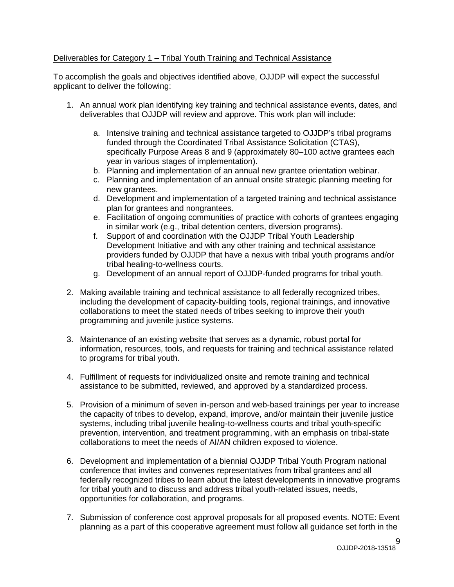## Deliverables for Category 1 – Tribal Youth Training and Technical Assistance

To accomplish the goals and objectives identified above, OJJDP will expect the successful applicant to deliver the following:

- 1. An annual work plan identifying key training and technical assistance events, dates, and deliverables that OJJDP will review and approve. This work plan will include:
	- a. Intensive training and technical assistance targeted to OJJDP's tribal programs funded through the Coordinated Tribal Assistance Solicitation (CTAS), specifically Purpose Areas 8 and 9 (approximately 80–100 active grantees each year in various stages of implementation).
	- b. Planning and implementation of an annual new grantee orientation webinar.
	- c. Planning and implementation of an annual onsite strategic planning meeting for new grantees.
	- d. Development and implementation of a targeted training and technical assistance plan for grantees and nongrantees.
	- e. Facilitation of ongoing communities of practice with cohorts of grantees engaging in similar work (e.g., tribal detention centers, diversion programs).
	- f. Support of and coordination with the OJJDP Tribal Youth Leadership Development Initiative and with any other training and technical assistance providers funded by OJJDP that have a nexus with tribal youth programs and/or tribal healing-to-wellness courts.
	- g. Development of an annual report of OJJDP-funded programs for tribal youth.
- 2. Making available training and technical assistance to all federally recognized tribes, including the development of capacity-building tools, regional trainings, and innovative collaborations to meet the stated needs of tribes seeking to improve their youth programming and juvenile justice systems.
- 3. Maintenance of an existing website that serves as a dynamic, robust portal for information, resources, tools, and requests for training and technical assistance related to programs for tribal youth.
- 4. Fulfillment of requests for individualized onsite and remote training and technical assistance to be submitted, reviewed, and approved by a standardized process.
- 5. Provision of a minimum of seven in-person and web-based trainings per year to increase the capacity of tribes to develop, expand, improve, and/or maintain their juvenile justice systems, including tribal juvenile healing-to-wellness courts and tribal youth-specific prevention, intervention, and treatment programming, with an emphasis on tribal-state collaborations to meet the needs of AI/AN children exposed to violence.
- 6. Development and implementation of a biennial OJJDP Tribal Youth Program national conference that invites and convenes representatives from tribal grantees and all federally recognized tribes to learn about the latest developments in innovative programs for tribal youth and to discuss and address tribal youth-related issues, needs, opportunities for collaboration, and programs.
- 7. Submission of conference cost approval proposals for all proposed events. NOTE: Event planning as a part of this cooperative agreement must follow all guidance set forth in the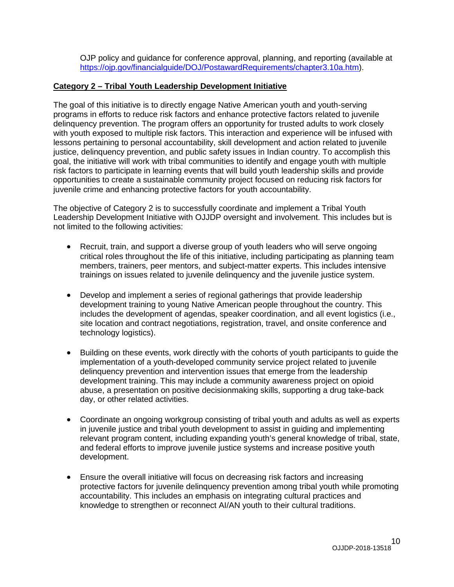OJP policy and guidance for conference approval, planning, and reporting (available at [https://ojp.gov/financialguide/DOJ/PostawardRequirements/chapter3.10a.htm\)](https://ojp.gov/financialguide/DOJ/PostawardRequirements/chapter3.10a.htm).

## **Category 2 – Tribal Youth Leadership Development Initiative**

The goal of this initiative is to directly engage Native American youth and youth-serving programs in efforts to reduce risk factors and enhance protective factors related to juvenile delinquency prevention. The program offers an opportunity for trusted adults to work closely with youth exposed to multiple risk factors. This interaction and experience will be infused with lessons pertaining to personal accountability, skill development and action related to juvenile justice, delinquency prevention, and public safety issues in Indian country. To accomplish this goal, the initiative will work with tribal communities to identify and engage youth with multiple risk factors to participate in learning events that will build youth leadership skills and provide opportunities to create a sustainable community project focused on reducing risk factors for juvenile crime and enhancing protective factors for youth accountability.

The objective of Category 2 is to successfully coordinate and implement a Tribal Youth Leadership Development Initiative with OJJDP oversight and involvement. This includes but is not limited to the following activities:

- Recruit, train, and support a diverse group of youth leaders who will serve ongoing critical roles throughout the life of this initiative, including participating as planning team members, trainers, peer mentors, and subject-matter experts. This includes intensive trainings on issues related to juvenile delinquency and the juvenile justice system.
- Develop and implement a series of regional gatherings that provide leadership development training to young Native American people throughout the country. This includes the development of agendas, speaker coordination, and all event logistics (i.e., site location and contract negotiations, registration, travel, and onsite conference and technology logistics).
- Building on these events, work directly with the cohorts of youth participants to guide the implementation of a youth-developed community service project related to juvenile delinquency prevention and intervention issues that emerge from the leadership development training. This may include a community awareness project on opioid abuse, a presentation on positive decisionmaking skills, supporting a drug take-back day, or other related activities.
- Coordinate an ongoing workgroup consisting of tribal youth and adults as well as experts in juvenile justice and tribal youth development to assist in guiding and implementing relevant program content, including expanding youth's general knowledge of tribal, state, and federal efforts to improve juvenile justice systems and increase positive youth development.
- Ensure the overall initiative will focus on decreasing risk factors and increasing protective factors for juvenile delinquency prevention among tribal youth while promoting accountability. This includes an emphasis on integrating cultural practices and knowledge to strengthen or reconnect AI/AN youth to their cultural traditions.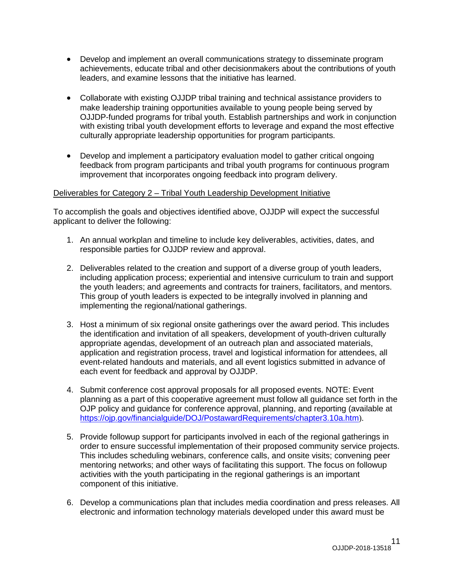- Develop and implement an overall communications strategy to disseminate program achievements, educate tribal and other decisionmakers about the contributions of youth leaders, and examine lessons that the initiative has learned.
- Collaborate with existing OJJDP tribal training and technical assistance providers to make leadership training opportunities available to young people being served by OJJDP-funded programs for tribal youth. Establish partnerships and work in conjunction with existing tribal youth development efforts to leverage and expand the most effective culturally appropriate leadership opportunities for program participants.
- Develop and implement a participatory evaluation model to gather critical ongoing feedback from program participants and tribal youth programs for continuous program improvement that incorporates ongoing feedback into program delivery.

#### Deliverables for Category 2 – Tribal Youth Leadership Development Initiative

To accomplish the goals and objectives identified above, OJJDP will expect the successful applicant to deliver the following:

- 1. An annual workplan and timeline to include key deliverables, activities, dates, and responsible parties for OJJDP review and approval.
- 2. Deliverables related to the creation and support of a diverse group of youth leaders, including application process; experiential and intensive curriculum to train and support the youth leaders; and agreements and contracts for trainers, facilitators, and mentors. This group of youth leaders is expected to be integrally involved in planning and implementing the regional/national gatherings.
- 3. Host a minimum of six regional onsite gatherings over the award period. This includes the identification and invitation of all speakers, development of youth-driven culturally appropriate agendas, development of an outreach plan and associated materials, application and registration process, travel and logistical information for attendees, all event-related handouts and materials, and all event logistics submitted in advance of each event for feedback and approval by OJJDP.
- 4. Submit conference cost approval proposals for all proposed events. NOTE: Event planning as a part of this cooperative agreement must follow all guidance set forth in the OJP policy and guidance for conference approval, planning, and reporting (available at <https://ojp.gov/financialguide/DOJ/PostawardRequirements/chapter3.10a.htm>).
- 5. Provide followup support for participants involved in each of the regional gatherings in order to ensure successful implementation of their proposed community service projects. This includes scheduling webinars, conference calls, and onsite visits; convening peer mentoring networks; and other ways of facilitating this support. The focus on followup activities with the youth participating in the regional gatherings is an important component of this initiative.
- 6. Develop a communications plan that includes media coordination and press releases. All electronic and information technology materials developed under this award must be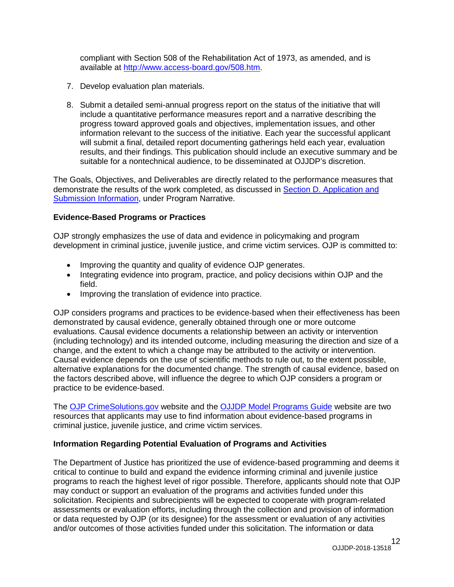compliant with Section 508 of the Rehabilitation Act of 1973, as amended, and is available at [http://www.access-board.gov/508.htm.](http://www.access-board.gov/508.htm)

- 7. Develop evaluation plan materials.
- 8. Submit a detailed semi-annual progress report on the status of the initiative that will include a quantitative performance measures report and a narrative describing the progress toward approved goals and objectives, implementation issues, and other information relevant to the success of the initiative. Each year the successful applicant will submit a final, detailed report documenting gatherings held each year, evaluation results, and their findings. This publication should include an executive summary and be suitable for a nontechnical audience, to be disseminated at OJJDP's discretion.

The Goals, Objectives, and Deliverables are directly related to the performance measures that demonstrate the results of the work completed, as discussed in [Section D. Application and](#page-15-0) [Submission Information,](#page-15-0) under Program Narrative.

#### <span id="page-11-0"></span>**Evidence-Based Programs or Practices**

OJP strongly emphasizes the use of data and evidence in policymaking and program development in criminal justice, juvenile justice, and crime victim services. OJP is committed to:

- Improving the quantity and quality of evidence OJP generates.
- Integrating evidence into program, practice, and policy decisions within OJP and the field.
- Improving the translation of evidence into practice.

OJP considers programs and practices to be evidence-based when their effectiveness has been demonstrated by causal evidence, generally obtained through one or more outcome evaluations. Causal evidence documents a relationship between an activity or intervention (including technology) and its intended outcome, including measuring the direction and size of a change, and the extent to which a change may be attributed to the activity or intervention. Causal evidence depends on the use of scientific methods to rule out, to the extent possible, alternative explanations for the documented change. The strength of causal evidence, based on the factors described above, will influence the degree to which OJP considers a program or practice to be evidence-based.

The OJP [CrimeSolutions.gov](https://www.crimesolutions.gov/) website and the OJJDP Model [Programs Guide](http://www.ojjdp.gov/mpg) website are two resources that applicants may use to find information about evidence-based programs in criminal justice, juvenile justice, and crime victim services.

#### **Information Regarding Potential Evaluation of Programs and Activities**

The Department of Justice has prioritized the use of evidence-based programming and deems it critical to continue to build and expand the evidence informing criminal and juvenile justice programs to reach the highest level of rigor possible. Therefore, applicants should note that OJP may conduct or support an evaluation of the programs and activities funded under this solicitation. Recipients and subrecipients will be expected to cooperate with program-related assessments or evaluation efforts, including through the collection and provision of information or data requested by OJP (or its designee) for the assessment or evaluation of any activities and/or outcomes of those activities funded under this solicitation. The information or data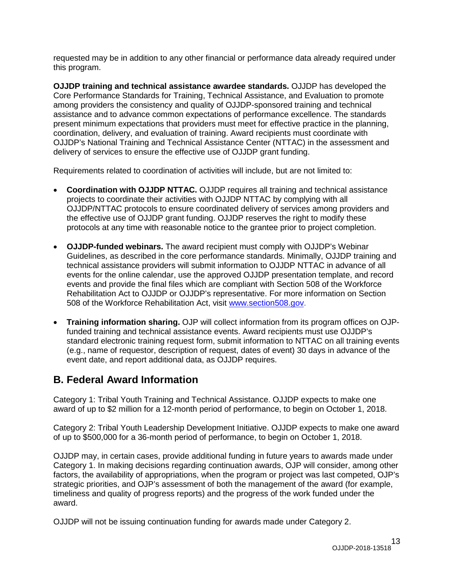requested may be in addition to any other financial or performance data already required under this program.

**OJJDP training and technical assistance awardee standards.** OJJDP has developed the Core Performance Standards for Training, Technical Assistance, and Evaluation to promote among providers the consistency and quality of OJJDP-sponsored training and technical assistance and to advance common expectations of performance excellence. The standards present minimum expectations that providers must meet for effective practice in the planning, coordination, delivery, and evaluation of training. Award recipients must coordinate with OJJDP's National Training and Technical Assistance Center (NTTAC) in the assessment and delivery of services to ensure the effective use of OJJDP grant funding.

Requirements related to coordination of activities will include, but are not limited to:

- **Coordination with OJJDP NTTAC.** OJJDP requires all training and technical assistance projects to coordinate their activities with OJJDP NTTAC by complying with all OJJDP/NTTAC protocols to ensure coordinated delivery of services among providers and the effective use of OJJDP grant funding. OJJDP reserves the right to modify these protocols at any time with reasonable notice to the grantee prior to project completion.
- **OJJDP-funded webinars.** The award recipient must comply with OJJDP's Webinar Guidelines, as described in the core performance standards. Minimally, OJJDP training and technical assistance providers will submit information to OJJDP NTTAC in advance of all events for the online calendar, use the approved OJJDP presentation template, and record events and provide the final files which are compliant with Section 508 of the Workforce Rehabilitation Act to OJJDP or OJJDP's representative. For more information on Section 508 of the Workforce Rehabilitation Act, visit [www.section508.gov.](http://www.section508.gov/)
- **Training information sharing.** OJP will collect information from its program offices on OJPfunded training and technical assistance events. Award recipients must use OJJDP's standard electronic training request form, submit information to NTTAC on all training events (e.g., name of requestor, description of request, dates of event) 30 days in advance of the event date, and report additional data, as OJJDP requires.

# <span id="page-12-0"></span>**B. Federal Award Information**

Category 1: Tribal Youth Training and Technical Assistance. OJJDP expects to make one award of up to \$2 million for a 12-month period of performance, to begin on October 1, 2018.

Category 2: Tribal Youth Leadership Development Initiative. OJJDP expects to make one award of up to \$500,000 for a 36-month period of performance, to begin on October 1, 2018.

OJJDP may, in certain cases, provide additional funding in future years to awards made under Category 1. In making decisions regarding continuation awards, OJP will consider, among other factors, the availability of appropriations, when the program or project was last competed, OJP's strategic priorities, and OJP's assessment of both the management of the award (for example, timeliness and quality of progress reports) and the progress of the work funded under the award.

OJJDP will not be issuing continuation funding for awards made under Category 2.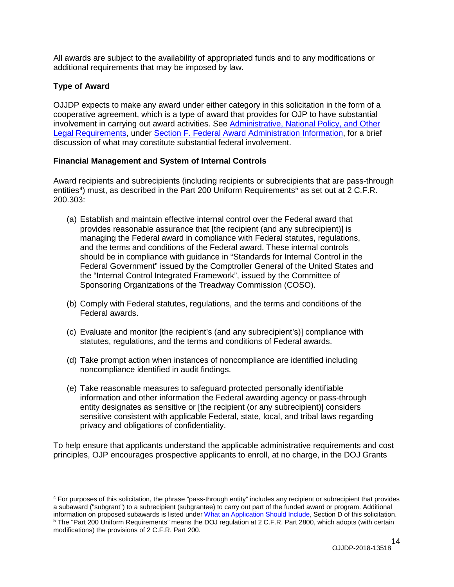All awards are subject to the availability of appropriated funds and to any modifications or additional requirements that may be imposed by law.

# <span id="page-13-0"></span>**Type of Award**

OJJDP expects to make any award under either category in this solicitation in the form of a cooperative agreement, which is a type of award that provides for OJP to have substantial involvement in carrying out award activities. See [Administrative, National](#page-33-0) Policy, and Other [Legal Requirements,](#page-33-0) under [Section F. Federal Award Administration Information,](#page-33-0) for a brief discussion of what may constitute substantial federal involvement.

# <span id="page-13-1"></span>**Financial Management and System of Internal Controls**

Award recipients and subrecipients (including recipients or subrecipients that are pass-through entities<sup>[4](#page-13-2)</sup>) must, as described in the Part 200 Uniform Requirements<sup>[5](#page-13-3)</sup> as set out at 2 C.F.R. 200.303:

- (a) Establish and maintain effective internal control over the Federal award that provides reasonable assurance that [the recipient (and any subrecipient)] is managing the Federal award in compliance with Federal statutes, regulations, and the terms and conditions of the Federal award. These internal controls should be in compliance with guidance in "Standards for Internal Control in the Federal Government" issued by the Comptroller General of the United States and the "Internal Control Integrated Framework", issued by the Committee of Sponsoring Organizations of the Treadway Commission (COSO).
- (b) Comply with Federal statutes, regulations, and the terms and conditions of the Federal awards.
- (c) Evaluate and monitor [the recipient's (and any subrecipient's)] compliance with statutes, regulations, and the terms and conditions of Federal awards.
- (d) Take prompt action when instances of noncompliance are identified including noncompliance identified in audit findings.
- (e) Take reasonable measures to safeguard protected personally identifiable information and other information the Federal awarding agency or pass-through entity designates as sensitive or [the recipient (or any subrecipient)] considers sensitive consistent with applicable Federal, state, local, and tribal laws regarding privacy and obligations of confidentiality.

To help ensure that applicants understand the applicable administrative requirements and cost principles, OJP encourages prospective applicants to enroll, at no charge, in the DOJ Grants

<span id="page-13-2"></span><sup>4</sup> For purposes of this solicitation, the phrase "pass-through entity" includes any recipient or subrecipient that provides a subaward ("subgrant") to a subrecipient (subgrantee) to carry out part of the funded award or program. Additional information on proposed subawards is listed unde[r What an Application Should Include,](#page-16-0) Section D of this solicitation.

<span id="page-13-3"></span><sup>5</sup> The "Part 200 Uniform Requirements" means the DOJ regulation at 2 C.F.R. Part 2800, which adopts (with certain modifications) the provisions of 2 C.F.R. Part 200.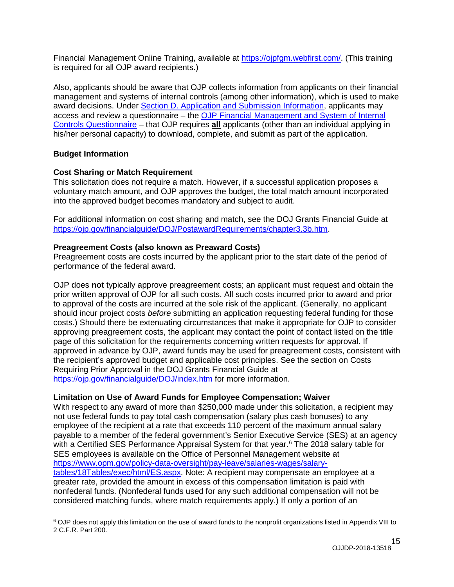Financial Management Online Training, available at [https://ojpfgm.webfirst.com/.](https://ojpfgm.webfirst.com/) (This training is required for all OJP award recipients.)

Also, applicants should be aware that OJP collects information from applicants on their financial management and systems of internal controls (among other information), which is used to make award decisions. Under [Section D. Application and Submission Information,](#page-15-0) applicants may access and review a questionnaire – the [OJP Financial Management and System of Internal](https://ojp.gov/funding/Apply/Resources/FinancialCapability.pdf)  [Controls Questionnaire](https://ojp.gov/funding/Apply/Resources/FinancialCapability.pdf) – that OJP requires **all** applicants (other than an individual applying in his/her personal capacity) to download, complete, and submit as part of the application.

#### <span id="page-14-0"></span>**Budget Information**

#### <span id="page-14-1"></span>**Cost Sharing or Match Requirement**

This solicitation does not require a match. However, if a successful application proposes a voluntary match amount, and OJP approves the budget, the total match amount incorporated into the approved budget becomes mandatory and subject to audit.

For additional information on cost sharing and match, see the DOJ Grants Financial Guide at [https://ojp.gov/financialguide/DOJ/PostawardRequirements/chapter3.3b.htm.](https://ojp.gov/financialguide/DOJ/PostawardRequirements/chapter3.3b.htm)

#### <span id="page-14-2"></span>**Preagreement Costs (also known as Preaward Costs)**

Preagreement costs are costs incurred by the applicant prior to the start date of the period of performance of the federal award.

OJP does **not** typically approve preagreement costs; an applicant must request and obtain the prior written approval of OJP for all such costs. All such costs incurred prior to award and prior to approval of the costs are incurred at the sole risk of the applicant. (Generally, no applicant should incur project costs *before* submitting an application requesting federal funding for those costs.) Should there be extenuating circumstances that make it appropriate for OJP to consider approving preagreement costs, the applicant may contact the point of contact listed on the title page of this solicitation for the requirements concerning written requests for approval. If approved in advance by OJP, award funds may be used for preagreement costs, consistent with the recipient's approved budget and applicable cost principles. See the section on Costs Requiring Prior Approval in the DOJ Grants Financial Guide at <https://ojp.gov/financialguide/DOJ/index.htm> for more information.

#### <span id="page-14-3"></span>**Limitation on Use of Award Funds for Employee Compensation; Waiver**

With respect to any award of more than \$250,000 made under this solicitation, a recipient may not use federal funds to pay total cash compensation (salary plus cash bonuses) to any employee of the recipient at a rate that exceeds 110 percent of the maximum annual salary payable to a member of the federal government's Senior Executive Service (SES) at an agency with a Certified SES Performance Appraisal System for that year. [6](#page-14-4) The 2018 salary table for SES employees is available on the Office of Personnel Management website at [https://www.opm.gov/policy-data-oversight/pay-leave/salaries-wages/salary](https://www.opm.gov/policy-data-oversight/pay-leave/salaries-wages/salary-tables/18Tables/exec/html/ES.aspx)[tables/18Tables/exec/html/ES.aspx.](https://www.opm.gov/policy-data-oversight/pay-leave/salaries-wages/salary-tables/18Tables/exec/html/ES.aspx) Note: A recipient may compensate an employee at a greater rate, provided the amount in excess of this compensation limitation is paid with nonfederal funds. (Nonfederal funds used for any such additional compensation will not be considered matching funds, where match requirements apply.) If only a portion of an

<span id="page-14-4"></span><sup>6</sup> OJP does not apply this limitation on the use of award funds to the nonprofit organizations listed in Appendix VIII to 2 C.F.R. Part 200.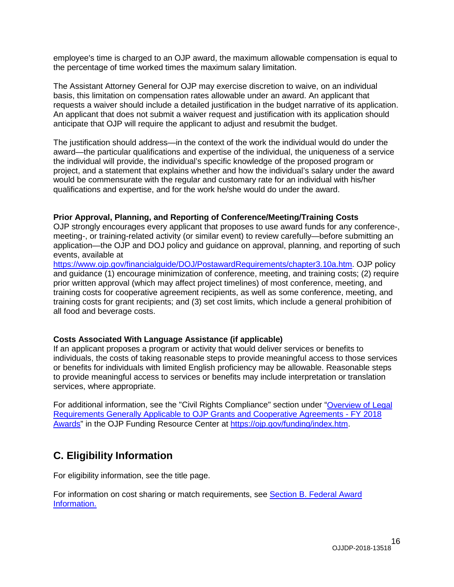employee's time is charged to an OJP award, the maximum allowable compensation is equal to the percentage of time worked times the maximum salary limitation.

The Assistant Attorney General for OJP may exercise discretion to waive, on an individual basis, this limitation on compensation rates allowable under an award. An applicant that requests a waiver should include a detailed justification in the budget narrative of its application. An applicant that does not submit a waiver request and justification with its application should anticipate that OJP will require the applicant to adjust and resubmit the budget.

The justification should address—in the context of the work the individual would do under the award—the particular qualifications and expertise of the individual, the uniqueness of a service the individual will provide, the individual's specific knowledge of the proposed program or project, and a statement that explains whether and how the individual's salary under the award would be commensurate with the regular and customary rate for an individual with his/her qualifications and expertise, and for the work he/she would do under the award.

#### <span id="page-15-1"></span>**Prior Approval, Planning, and Reporting of Conference/Meeting/Training Costs**

OJP strongly encourages every applicant that proposes to use award funds for any conference-, meeting-, or training-related activity (or similar event) to review carefully—before submitting an application—the OJP and DOJ policy and guidance on approval, planning, and reporting of such events, available at

[https://www.ojp.gov/financialguide/DOJ/PostawardRequirements/chapter3.10a.htm.](https://www.ojp.gov/financialguide/DOJ/PostawardRequirements/chapter3.10a.htm) OJP policy and guidance (1) encourage minimization of conference, meeting, and training costs; (2) require prior written approval (which may affect project timelines) of most conference, meeting, and training costs for cooperative agreement recipients, as well as some conference, meeting, and training costs for grant recipients; and (3) set cost limits, which include a general prohibition of all food and beverage costs.

#### <span id="page-15-2"></span>**Costs Associated With Language Assistance (if applicable)**

If an applicant proposes a program or activity that would deliver services or benefits to individuals, the costs of taking reasonable steps to provide meaningful access to those services or benefits for individuals with limited English proficiency may be allowable. Reasonable steps to provide meaningful access to services or benefits may include interpretation or translation services, where appropriate.

For additional information, see the "Civil Rights Compliance" section under ["Overview of Legal](https://ojp.gov/funding/Explore/LegalOverview/index.htm) [Requirements Generally Applicable to OJP Grants and Cooperative Agreements -](https://ojp.gov/funding/Explore/LegalOverview/index.htm) FY 2018 [Awards"](https://ojp.gov/funding/Explore/LegalOverview/index.htm) in the OJP Funding Resource Center at [https://ojp.gov/funding/index.htm.](https://ojp.gov/funding/index.htm)

# <span id="page-15-3"></span>**C. Eligibility Information**

For eligibility information, see the title page.

<span id="page-15-0"></span>For information on cost sharing or match requirements, see [Section B. Federal Award](#page-12-0)  [Information.](#page-12-0)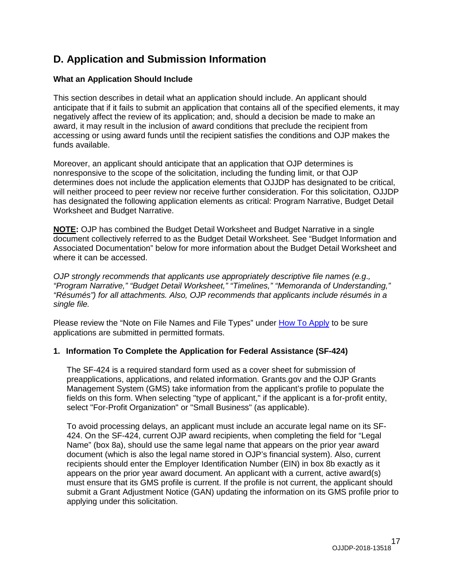# **D. Application and Submission Information**

## <span id="page-16-0"></span>**What an Application Should Include**

This section describes in detail what an application should include. An applicant should anticipate that if it fails to submit an application that contains all of the specified elements, it may negatively affect the review of its application; and, should a decision be made to make an award, it may result in the inclusion of award conditions that preclude the recipient from accessing or using award funds until the recipient satisfies the conditions and OJP makes the funds available.

Moreover, an applicant should anticipate that an application that OJP determines is nonresponsive to the scope of the solicitation, including the funding limit, or that OJP determines does not include the application elements that OJJDP has designated to be critical, will neither proceed to peer review nor receive further consideration. For this solicitation, OJJDP has designated the following application elements as critical: Program Narrative, Budget Detail Worksheet and Budget Narrative.

**NOTE:** OJP has combined the Budget Detail Worksheet and Budget Narrative in a single document collectively referred to as the Budget Detail Worksheet. See "Budget Information and Associated Documentation" below for more information about the Budget Detail Worksheet and where it can be accessed.

*OJP strongly recommends that applicants use appropriately descriptive file names (e.g*.*, "Program Narrative," "Budget Detail Worksheet," "Timelines," "Memoranda of Understanding," "Résumés") for all attachments. Also, OJP recommends that applicants include résumés in a single file.*

Please review the "Note on File Names and File Types" under [How To Apply](#page-27-0) to be sure applications are submitted in permitted formats.

#### **1. Information To Complete the Application for Federal Assistance (SF-424)**

The SF-424 is a required standard form used as a cover sheet for submission of preapplications, applications, and related information. Grants.gov and the OJP Grants Management System (GMS) take information from the applicant's profile to populate the fields on this form. When selecting "type of applicant," if the applicant is a for-profit entity, select "For-Profit Organization" or "Small Business" (as applicable).

To avoid processing delays, an applicant must include an accurate legal name on its SF-424. On the SF-424, current OJP award recipients, when completing the field for "Legal Name" (box 8a), should use the same legal name that appears on the prior year award document (which is also the legal name stored in OJP's financial system). Also, current recipients should enter the Employer Identification Number (EIN) in box 8b exactly as it appears on the prior year award document. An applicant with a current, active award(s) must ensure that its GMS profile is current. If the profile is not current, the applicant should submit a Grant Adjustment Notice (GAN) updating the information on its GMS profile prior to applying under this solicitation.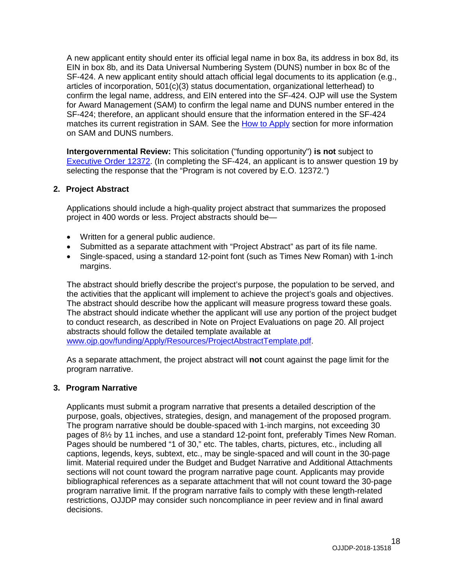A new applicant entity should enter its official legal name in box 8a, its address in box 8d, its EIN in box 8b, and its Data Universal Numbering System (DUNS) number in box 8c of the SF-424. A new applicant entity should attach official legal documents to its application (e.g., articles of incorporation, 501(c)(3) status documentation, organizational letterhead) to confirm the legal name, address, and EIN entered into the SF-424. OJP will use the System for Award Management (SAM) to confirm the legal name and DUNS number entered in the SF-424; therefore, an applicant should ensure that the information entered in the SF-424 matches its current registration in SAM. See the [How to Apply](#page-27-0) section for more information on SAM and DUNS numbers.

**Intergovernmental Review:** This solicitation ("funding opportunity") **is not** subject to [Executive Order 12372.](https://www.archives.gov/federal-register/codification/executive-order/12372.html) (In completing the SF-424, an applicant is to answer question 19 by selecting the response that the "Program is not covered by E.O. 12372.")

#### **2. Project Abstract**

Applications should include a high-quality project abstract that summarizes the proposed project in 400 words or less. Project abstracts should be—

- Written for a general public audience.
- Submitted as a separate attachment with "Project Abstract" as part of its file name.
- Single-spaced, using a standard 12-point font (such as Times New Roman) with 1-inch margins.

The abstract should briefly describe the project's purpose, the population to be served, and the activities that the applicant will implement to achieve the project's goals and objectives. The abstract should describe how the applicant will measure progress toward these goals. The abstract should indicate whether the applicant will use any portion of the project budget to conduct research, as described in Note on Project Evaluations on page 20. All project abstracts should follow the detailed template available at [www.ojp.gov/funding/Apply/Resources/ProjectAbstractTemplate.pdf.](http://www.ojp.gov/funding/Apply/Resources/ProjectAbstractTemplate.pdf)

As a separate attachment, the project abstract will **not** count against the page limit for the program narrative.

#### **3. Program Narrative**

Applicants must submit a program narrative that presents a detailed description of the purpose, goals, objectives, strategies, design, and management of the proposed program. The program narrative should be double-spaced with 1-inch margins, not exceeding 30 pages of 8½ by 11 inches, and use a standard 12-point font, preferably Times New Roman. Pages should be numbered "1 of 30," etc. The tables, charts, pictures, etc., including all captions, legends, keys, subtext, etc., may be single-spaced and will count in the 30-page limit. Material required under the Budget and Budget Narrative and Additional Attachments sections will not count toward the program narrative page count. Applicants may provide bibliographical references as a separate attachment that will not count toward the 30-page program narrative limit. If the program narrative fails to comply with these length-related restrictions, OJJDP may consider such noncompliance in peer review and in final award decisions.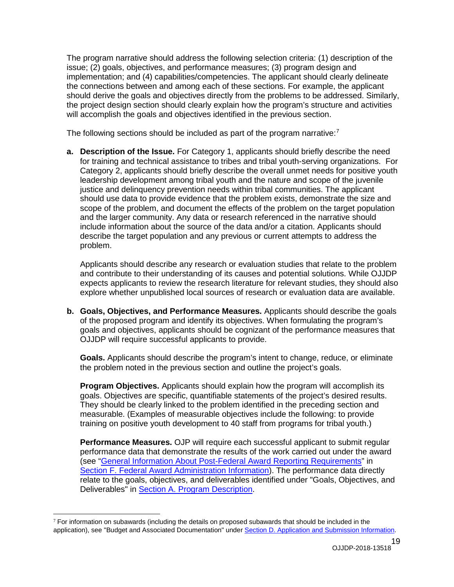The program narrative should address the following selection criteria: (1) description of the issue; (2) goals, objectives, and performance measures; (3) program design and implementation; and (4) capabilities/competencies. The applicant should clearly delineate the connections between and among each of these sections. For example, the applicant should derive the goals and objectives directly from the problems to be addressed. Similarly, the project design section should clearly explain how the program's structure and activities will accomplish the goals and objectives identified in the previous section.

The following sections should be included as part of the program narrative:<sup>[7](#page-18-0)</sup>

**a. Description of the Issue.** For Category 1, applicants should briefly describe the need for training and technical assistance to tribes and tribal youth-serving organizations. For Category 2, applicants should briefly describe the overall unmet needs for positive youth leadership development among tribal youth and the nature and scope of the juvenile justice and delinquency prevention needs within tribal communities. The applicant should use data to provide evidence that the problem exists, demonstrate the size and scope of the problem, and document the effects of the problem on the target population and the larger community. Any data or research referenced in the narrative should include information about the source of the data and/or a citation. Applicants should describe the target population and any previous or current attempts to address the problem.

Applicants should describe any research or evaluation studies that relate to the problem and contribute to their understanding of its causes and potential solutions. While OJJDP expects applicants to review the research literature for relevant studies, they should also explore whether unpublished local sources of research or evaluation data are available.

**b. Goals, Objectives, and Performance Measures.** Applicants should describe the goals of the proposed program and identify its objectives. When formulating the program's goals and objectives, applicants should be cognizant of the performance measures that OJJDP will require successful applicants to provide.

**Goals.** Applicants should describe the program's intent to change, reduce, or eliminate the problem noted in the previous section and outline the project's goals.

**Program Objectives.** Applicants should explain how the program will accomplish its goals. Objectives are specific, quantifiable statements of the project's desired results. They should be clearly linked to the problem identified in the preceding section and measurable. (Examples of measurable objectives include the following: to provide training on positive youth development to 40 staff from programs for tribal youth.)

**Performance Measures.** OJP will require each successful applicant to submit regular performance data that demonstrate the results of the work carried out under the award (see ["General Information About Post-Federal Award Reporting](#page-35-0) Requirements" in Section F. Federal Award [Administration Information\)](#page-33-0). The performance data directly relate to the goals, objectives, and deliverables identified under "Goals, Objectives, and Deliverables" in [Section A. Program Description.](#page-4-0)

<span id="page-18-0"></span> $7$  For information on subawards (including the details on proposed subawards that should be included in the application), see "Budget and Associated Documentation" under [Section D. Application and Submission Information.](#page-15-0)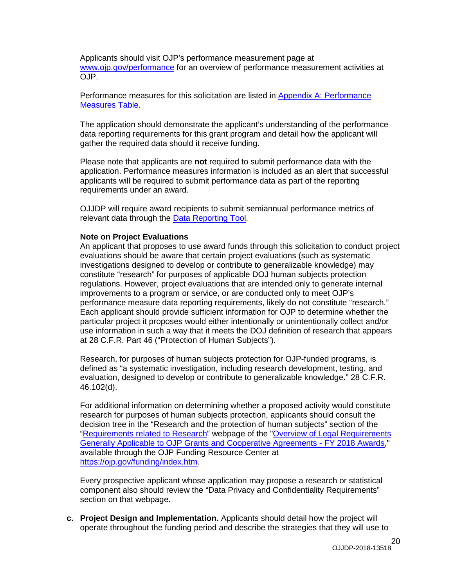Applicants should visit OJP's performance measurement page at [www.ojp.gov/performance](https://www.ojp.gov/performance) for an overview of performance measurement activities at OJP.

Performance measures for this solicitation are listed in Appendix [A: Performance](#page-37-0)  [Measures Table.](#page-37-0)

The application should demonstrate the applicant's understanding of the performance data reporting requirements for this grant program and detail how the applicant will gather the required data should it receive funding.

Please note that applicants are **not** required to submit performance data with the application. Performance measures information is included as an alert that successful applicants will be required to submit performance data as part of the reporting requirements under an award.

OJJDP will require award recipients to submit semiannual performance metrics of relevant data through the [Data Reporting Tool.](https://www.ojjdp-dctat.org/)

#### **Note on Project Evaluations**

An applicant that proposes to use award funds through this solicitation to conduct project evaluations should be aware that certain project evaluations (such as systematic investigations designed to develop or contribute to generalizable knowledge) may constitute "research" for purposes of applicable DOJ human subjects protection regulations. However, project evaluations that are intended only to generate internal improvements to a program or service, or are conducted only to meet OJP's performance measure data reporting requirements, likely do not constitute "research." Each applicant should provide sufficient information for OJP to determine whether the particular project it proposes would either intentionally or unintentionally collect and/or use information in such a way that it meets the DOJ definition of research that appears at 28 C.F.R. Part 46 ("Protection of Human Subjects").

Research, for purposes of human subjects protection for OJP-funded programs, is defined as "a systematic investigation, including research development, testing, and evaluation, designed to develop or contribute to generalizable knowledge." 28 C.F.R. 46.102(d).

For additional information on determining whether a proposed activity would constitute research for purposes of human subjects protection, applicants should consult the decision tree in the "Research and the protection of human subjects" section of the "Requirements [related to Research"](https://ojp.gov/funding/Explore/SolicitationRequirements/EvidenceResearchEvaluationRequirements.htm) webpage of the ["Overview of Legal Requirements](https://ojp.gov/funding/Explore/LegalOverview/index.htm) [Generally Applicable to OJP Grants and Cooperative Agreements -](https://ojp.gov/funding/Explore/LegalOverview/index.htm) FY 2018 Awards," available through the OJP Funding Resource Center at [https://ojp.gov/funding/index.htm.](https://ojp.gov/funding/index.htm)

Every prospective applicant whose application may propose a research or statistical component also should review the "Data Privacy and Confidentiality Requirements" section on that webpage.

**c. Project Design and Implementation.** Applicants should detail how the project will operate throughout the funding period and describe the strategies that they will use to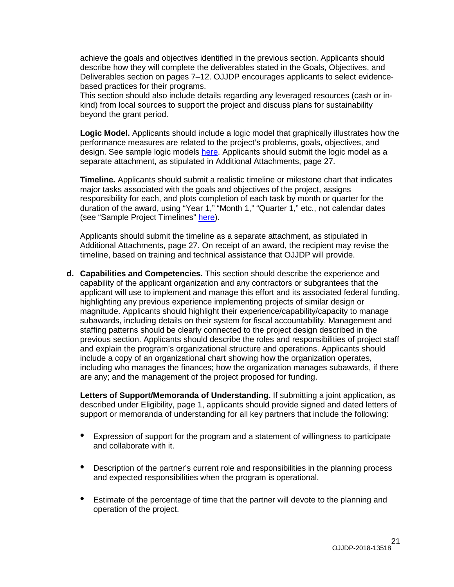achieve the goals and objectives identified in the previous section. Applicants should describe how they will complete the deliverables stated in the Goals, Objectives, and Deliverables section on pages 7–12. OJJDP encourages applicants to select evidencebased practices for their programs.

This section should also include details regarding any leveraged resources (cash or inkind) from local sources to support the project and discuss plans for sustainability beyond the grant period.

**Logic Model.** Applicants should include a logic model that graphically illustrates how the performance measures are related to the project's problems, goals, objectives, and design. See sample logic models [here.](https://www.ojjdp.gov/grantees/pm/logic_models.html) Applicants should submit the logic model as a separate attachment, as stipulated in Additional Attachments, page 27.

**Timeline.** Applicants should submit a realistic timeline or milestone chart that indicates major tasks associated with the goals and objectives of the project, assigns responsibility for each, and plots completion of each task by month or quarter for the duration of the award, using "Year 1," "Month 1," "Quarter 1," etc., not calendar dates (see "Sample Project Timelines" [here\)](https://www.ojjdp.gov/grantees/timelines.html).

Applicants should submit the timeline as a separate attachment, as stipulated in Additional Attachments, page 27. On receipt of an award, the recipient may revise the timeline, based on training and technical assistance that OJJDP will provide.

**d. Capabilities and Competencies.** This section should describe the experience and capability of the applicant organization and any contractors or subgrantees that the applicant will use to implement and manage this effort and its associated federal funding, highlighting any previous experience implementing projects of similar design or magnitude. Applicants should highlight their experience/capability/capacity to manage subawards, including details on their system for fiscal accountability. Management and staffing patterns should be clearly connected to the project design described in the previous section. Applicants should describe the roles and responsibilities of project staff and explain the program's organizational structure and operations. Applicants should include a copy of an organizational chart showing how the organization operates, including who manages the finances; how the organization manages subawards, if there are any; and the management of the project proposed for funding.

**Letters of Support/Memoranda of Understanding.** If submitting a joint application, as described under Eligibility, page 1, applicants should provide signed and dated letters of support or memoranda of understanding for all key partners that include the following:

- Expression of support for the program and a statement of willingness to participate and collaborate with it.
- Description of the partner's current role and responsibilities in the planning process and expected responsibilities when the program is operational.
- Estimate of the percentage of time that the partner will devote to the planning and operation of the project.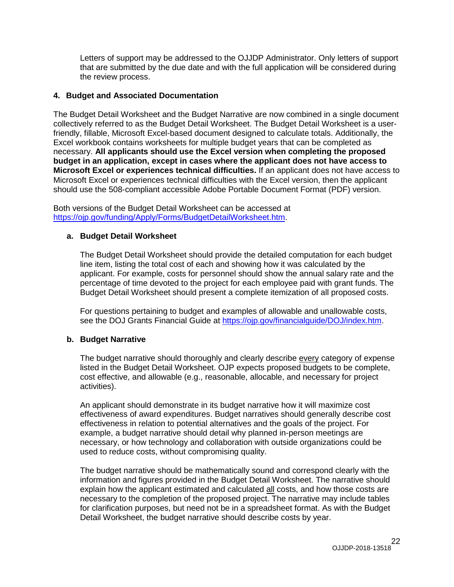Letters of support may be addressed to the OJJDP Administrator. Only letters of support that are submitted by the due date and with the full application will be considered during the review process.

#### **4. Budget and Associated Documentation**

The Budget Detail Worksheet and the Budget Narrative are now combined in a single document collectively referred to as the Budget Detail Worksheet. The Budget Detail Worksheet is a userfriendly, fillable, Microsoft Excel-based document designed to calculate totals. Additionally, the Excel workbook contains worksheets for multiple budget years that can be completed as necessary. **All applicants should use the Excel version when completing the proposed budget in an application, except in cases where the applicant does not have access to Microsoft Excel or experiences technical difficulties.** If an applicant does not have access to Microsoft Excel or experiences technical difficulties with the Excel version, then the applicant should use the 508-compliant accessible Adobe Portable Document Format (PDF) version.

Both versions of the Budget Detail Worksheet can be accessed at [https://ojp.gov/funding/Apply/Forms/BudgetDetailWorksheet.htm.](https://ojp.gov/funding/Apply/Forms/BudgetDetailWorksheet.htm)

#### **a. Budget Detail Worksheet**

The Budget Detail Worksheet should provide the detailed computation for each budget line item, listing the total cost of each and showing how it was calculated by the applicant. For example, costs for personnel should show the annual salary rate and the percentage of time devoted to the project for each employee paid with grant funds. The Budget Detail Worksheet should present a complete itemization of all proposed costs.

For questions pertaining to budget and examples of allowable and unallowable costs, see the DOJ Grants Financial Guide at [https://ojp.gov/financialguide/DOJ/index.htm.](https://ojp.gov/financialguide/DOJ/index.htm)

#### **b. Budget Narrative**

The budget narrative should thoroughly and clearly describe every category of expense listed in the Budget Detail Worksheet. OJP expects proposed budgets to be complete, cost effective, and allowable (e.g., reasonable, allocable, and necessary for project activities).

An applicant should demonstrate in its budget narrative how it will maximize cost effectiveness of award expenditures. Budget narratives should generally describe cost effectiveness in relation to potential alternatives and the goals of the project. For example, a budget narrative should detail why planned in-person meetings are necessary, or how technology and collaboration with outside organizations could be used to reduce costs, without compromising quality.

The budget narrative should be mathematically sound and correspond clearly with the information and figures provided in the Budget Detail Worksheet. The narrative should explain how the applicant estimated and calculated all costs, and how those costs are necessary to the completion of the proposed project. The narrative may include tables for clarification purposes, but need not be in a spreadsheet format. As with the Budget Detail Worksheet, the budget narrative should describe costs by year.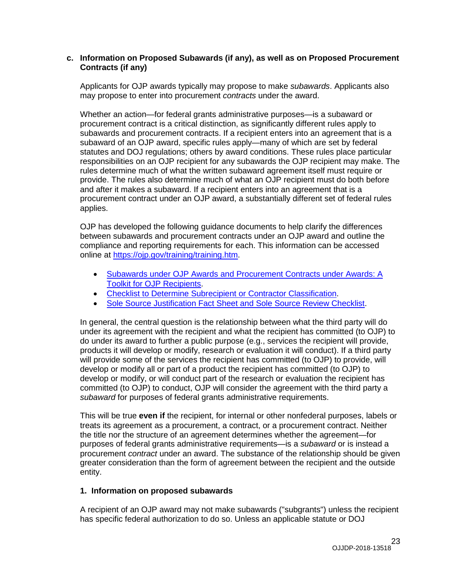#### **c. Information on Proposed Subawards (if any), as well as on Proposed Procurement Contracts (if any)**

Applicants for OJP awards typically may propose to make *subawards*. Applicants also may propose to enter into procurement *contracts* under the award.

Whether an action—for federal grants administrative purposes—is a subaward or procurement contract is a critical distinction, as significantly different rules apply to subawards and procurement contracts. If a recipient enters into an agreement that is a subaward of an OJP award, specific rules apply—many of which are set by federal statutes and DOJ regulations; others by award conditions. These rules place particular responsibilities on an OJP recipient for any subawards the OJP recipient may make. The rules determine much of what the written subaward agreement itself must require or provide. The rules also determine much of what an OJP recipient must do both before and after it makes a subaward. If a recipient enters into an agreement that is a procurement contract under an OJP award, a substantially different set of federal rules applies.

OJP has developed the following guidance documents to help clarify the differences between subawards and procurement contracts under an OJP award and outline the compliance and reporting requirements for each. This information can be accessed online at [https://ojp.gov/training/training.htm.](http://links.govdelivery.com/track?type=click&enid=ZWFzPTEmbXNpZD0mYXVpZD0mbWFpbGluZ2lkPTIwMTcwNzE3Ljc1OTkyNjAxJm1lc3NhZ2VpZD1NREItUFJELUJVTC0yMDE3MDcxNy43NTk5MjYwMSZkYXRhYmFzZWlkPTEwMDEmc2VyaWFsPTE3MDc5NDk3JmVtYWlsaWQ9bHVjeS5tdW5nbGVAb2pwLnVzZG9qLmdvdiZ1c2VyaWQ9bHVjeS5tdW5nbGVAb2pwLnVzZG9qLmdvdiZ0YXJnZXRpZD0mZmw9Jm12aWQ9JmV4dHJhPSYmJg==&&&100&&&https://ojp.gov/training/training.htm)

- Subawards under [OJP Awards and Procurement](http://links.govdelivery.com/track?type=click&enid=ZWFzPTEmbXNpZD0mYXVpZD0mbWFpbGluZ2lkPTIwMTcwNzE3Ljc1OTkyNjAxJm1lc3NhZ2VpZD1NREItUFJELUJVTC0yMDE3MDcxNy43NTk5MjYwMSZkYXRhYmFzZWlkPTEwMDEmc2VyaWFsPTE3MDc5NDk3JmVtYWlsaWQ9bHVjeS5tdW5nbGVAb2pwLnVzZG9qLmdvdiZ1c2VyaWQ9bHVjeS5tdW5nbGVAb2pwLnVzZG9qLmdvdiZ0YXJnZXRpZD0mZmw9Jm12aWQ9JmV4dHJhPSYmJg==&&&101&&&https://ojp.gov/training/pdfs/Subaward-Procure-Toolkit-D.pdf) Contracts under Awards: A [Toolkit for OJP Recipients.](http://links.govdelivery.com/track?type=click&enid=ZWFzPTEmbXNpZD0mYXVpZD0mbWFpbGluZ2lkPTIwMTcwNzE3Ljc1OTkyNjAxJm1lc3NhZ2VpZD1NREItUFJELUJVTC0yMDE3MDcxNy43NTk5MjYwMSZkYXRhYmFzZWlkPTEwMDEmc2VyaWFsPTE3MDc5NDk3JmVtYWlsaWQ9bHVjeS5tdW5nbGVAb2pwLnVzZG9qLmdvdiZ1c2VyaWQ9bHVjeS5tdW5nbGVAb2pwLnVzZG9qLmdvdiZ0YXJnZXRpZD0mZmw9Jm12aWQ9JmV4dHJhPSYmJg==&&&101&&&https://ojp.gov/training/pdfs/Subaward-Procure-Toolkit-D.pdf)
- [Checklist to Determine Subrecipient or Contractor Classification.](http://links.govdelivery.com/track?type=click&enid=ZWFzPTEmbXNpZD0mYXVpZD0mbWFpbGluZ2lkPTIwMTcwNzE3Ljc1OTkyNjAxJm1lc3NhZ2VpZD1NREItUFJELUJVTC0yMDE3MDcxNy43NTk5MjYwMSZkYXRhYmFzZWlkPTEwMDEmc2VyaWFsPTE3MDc5NDk3JmVtYWlsaWQ9bHVjeS5tdW5nbGVAb2pwLnVzZG9qLmdvdiZ1c2VyaWQ9bHVjeS5tdW5nbGVAb2pwLnVzZG9qLmdvdiZ0YXJnZXRpZD0mZmw9Jm12aWQ9JmV4dHJhPSYmJg==&&&102&&&https://ojp.gov/training/pdfs/Subrecipient-Procure-cklist-B.pdf)
- [Sole Source Justification Fact Sheet and Sole Source Review Checklist.](http://links.govdelivery.com/track?type=click&enid=ZWFzPTEmbXNpZD0mYXVpZD0mbWFpbGluZ2lkPTIwMTcwNzE3Ljc1OTkyNjAxJm1lc3NhZ2VpZD1NREItUFJELUJVTC0yMDE3MDcxNy43NTk5MjYwMSZkYXRhYmFzZWlkPTEwMDEmc2VyaWFsPTE3MDc5NDk3JmVtYWlsaWQ9bHVjeS5tdW5nbGVAb2pwLnVzZG9qLmdvdiZ1c2VyaWQ9bHVjeS5tdW5nbGVAb2pwLnVzZG9qLmdvdiZ0YXJnZXRpZD0mZmw9Jm12aWQ9JmV4dHJhPSYmJg==&&&103&&&https://ojp.gov/training/pdfs/Sole-Source-FactSheet-C.pdf)

In general, the central question is the relationship between what the third party will do under its agreement with the recipient and what the recipient has committed (to OJP) to do under its award to further a public purpose (e.g., services the recipient will provide, products it will develop or modify, research or evaluation it will conduct). If a third party will provide some of the services the recipient has committed (to OJP) to provide, will develop or modify all or part of a product the recipient has committed (to OJP) to develop or modify, or will conduct part of the research or evaluation the recipient has committed (to OJP) to conduct, OJP will consider the agreement with the third party a *subaward* for purposes of federal grants administrative requirements.

This will be true **even if** the recipient, for internal or other nonfederal purposes, labels or treats its agreement as a procurement, a contract, or a procurement contract. Neither the title nor the structure of an agreement determines whether the agreement—for purposes of federal grants administrative requirements—is a *subaward* or is instead a procurement *contract* under an award. The substance of the relationship should be given greater consideration than the form of agreement between the recipient and the outside entity.

#### **1. Information on proposed subawards**

A recipient of an OJP award may not make subawards ("subgrants") unless the recipient has specific federal authorization to do so. Unless an applicable statute or DOJ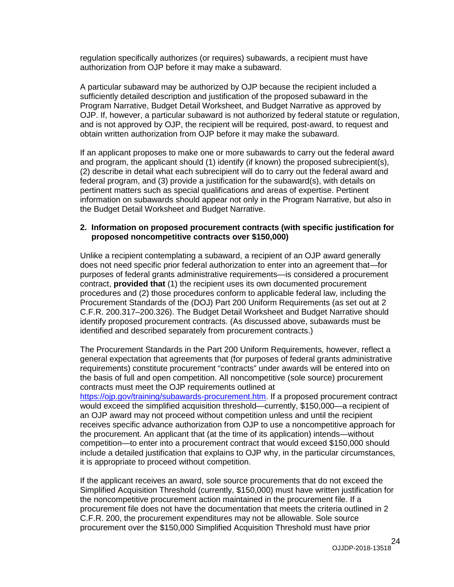regulation specifically authorizes (or requires) subawards, a recipient must have authorization from OJP before it may make a subaward.

A particular subaward may be authorized by OJP because the recipient included a sufficiently detailed description and justification of the proposed subaward in the Program Narrative, Budget Detail Worksheet, and Budget Narrative as approved by OJP. If, however, a particular subaward is not authorized by federal statute or regulation, and is not approved by OJP, the recipient will be required, post-award, to request and obtain written authorization from OJP before it may make the subaward.

If an applicant proposes to make one or more subawards to carry out the federal award and program, the applicant should (1) identify (if known) the proposed subrecipient(s), (2) describe in detail what each subrecipient will do to carry out the federal award and federal program, and (3) provide a justification for the subaward(s), with details on pertinent matters such as special qualifications and areas of expertise. Pertinent information on subawards should appear not only in the Program Narrative, but also in the Budget Detail Worksheet and Budget Narrative.

#### **2. Information on proposed procurement contracts (with specific justification for proposed noncompetitive contracts over \$150,000)**

Unlike a recipient contemplating a subaward, a recipient of an OJP award generally does not need specific prior federal authorization to enter into an agreement that—for purposes of federal grants administrative requirements—is considered a procurement contract, **provided that** (1) the recipient uses its own documented procurement procedures and (2) those procedures conform to applicable federal law, including the Procurement Standards of the (DOJ) Part 200 Uniform Requirements (as set out at 2 C.F.R. 200.317–200.326). The Budget Detail Worksheet and Budget Narrative should identify proposed procurement contracts. (As discussed above, subawards must be identified and described separately from procurement contracts.)

The Procurement Standards in the Part 200 Uniform Requirements, however, reflect a general expectation that agreements that (for purposes of federal grants administrative requirements) constitute procurement "contracts" under awards will be entered into on the basis of full and open competition. All noncompetitive (sole source) procurement contracts must meet the OJP requirements outlined at

[https://ojp.gov/training/subawards-procurement.htm.](https://ojp.gov/training/subawards-procurement.htm) If a proposed procurement contract would exceed the simplified acquisition threshold—currently, \$150,000—a recipient of an OJP award may not proceed without competition unless and until the recipient receives specific advance authorization from OJP to use a noncompetitive approach for the procurement. An applicant that (at the time of its application) intends—without competition—to enter into a procurement contract that would exceed \$150,000 should include a detailed justification that explains to OJP why, in the particular circumstances, it is appropriate to proceed without competition.

If the applicant receives an award, sole source procurements that do not exceed the Simplified Acquisition Threshold (currently, \$150,000) must have written justification for the noncompetitive procurement action maintained in the procurement file. If a procurement file does not have the documentation that meets the criteria outlined in 2 C.F.R. 200, the procurement expenditures may not be allowable. Sole source procurement over the \$150,000 Simplified Acquisition Threshold must have prior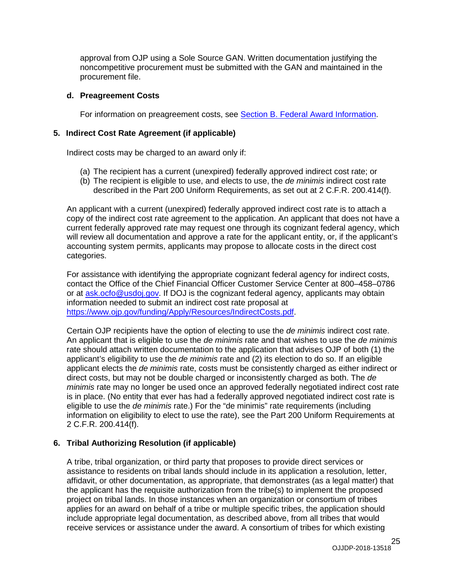approval from OJP using a Sole Source GAN. Written documentation justifying the noncompetitive procurement must be submitted with the GAN and maintained in the procurement file.

#### **d. Preagreement Costs**

For information on preagreement costs, see **Section B. Federal Award Information**.

#### **5. Indirect Cost Rate Agreement (if applicable)**

Indirect costs may be charged to an award only if:

- (a) The recipient has a current (unexpired) federally approved indirect cost rate; or
- (b) The recipient is eligible to use, and elects to use, the *de minimis* indirect cost rate described in the Part 200 Uniform Requirements, as set out at 2 C.F.R. 200.414(f).

An applicant with a current (unexpired) federally approved indirect cost rate is to attach a copy of the indirect cost rate agreement to the application. An applicant that does not have a current federally approved rate may request one through its cognizant federal agency, which will review all documentation and approve a rate for the applicant entity, or, if the applicant's accounting system permits, applicants may propose to allocate costs in the direct cost categories.

For assistance with identifying the appropriate cognizant federal agency for indirect costs, contact the Office of the Chief Financial Officer Customer Service Center at 800–458–0786 or at [ask.ocfo@usdoj.gov.](mailto:ask.ocfo@usdoj.gov) If DOJ is the cognizant federal agency, applicants may obtain information needed to submit an indirect cost rate proposal at [https://www.ojp.gov/funding/Apply/Resources/IndirectCosts.pdf.](https://www.ojp.gov/funding/Apply/Resources/IndirectCosts.pdf)

Certain OJP recipients have the option of electing to use the *de minimis* indirect cost rate. An applicant that is eligible to use the *de minimis* rate and that wishes to use the *de minimis* rate should attach written documentation to the application that advises OJP of both (1) the applicant's eligibility to use the *de minimis* rate and (2) its election to do so. If an eligible applicant elects the *de minimis* rate, costs must be consistently charged as either indirect or direct costs, but may not be double charged or inconsistently charged as both. The *de minimis* rate may no longer be used once an approved federally negotiated indirect cost rate is in place. (No entity that ever has had a federally approved negotiated indirect cost rate is eligible to use the *de minimis* rate.) For the "de minimis" rate requirements (including information on eligibility to elect to use the rate), see the Part 200 Uniform Requirements at 2 C.F.R. 200.414(f).

#### **6. Tribal Authorizing Resolution (if applicable)**

A tribe, tribal organization, or third party that proposes to provide direct services or assistance to residents on tribal lands should include in its application a resolution, letter, affidavit, or other documentation, as appropriate, that demonstrates (as a legal matter) that the applicant has the requisite authorization from the tribe(s) to implement the proposed project on tribal lands. In those instances when an organization or consortium of tribes applies for an award on behalf of a tribe or multiple specific tribes, the application should include appropriate legal documentation, as described above, from all tribes that would receive services or assistance under the award. A consortium of tribes for which existing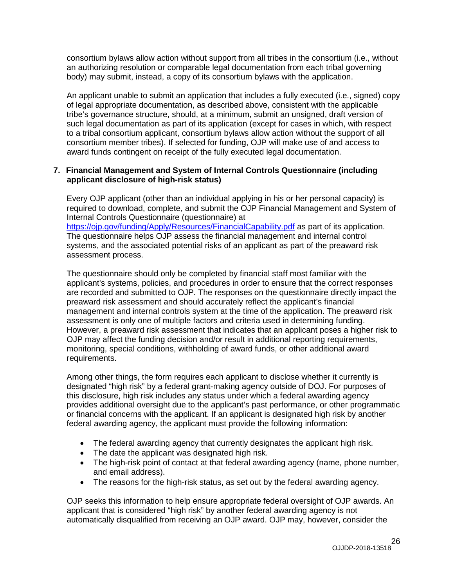consortium bylaws allow action without support from all tribes in the consortium (i.e., without an authorizing resolution or comparable legal documentation from each tribal governing body) may submit, instead, a copy of its consortium bylaws with the application.

An applicant unable to submit an application that includes a fully executed (i.e., signed) copy of legal appropriate documentation, as described above, consistent with the applicable tribe's governance structure, should, at a minimum, submit an unsigned, draft version of such legal documentation as part of its application (except for cases in which, with respect to a tribal consortium applicant, consortium bylaws allow action without the support of all consortium member tribes). If selected for funding, OJP will make use of and access to award funds contingent on receipt of the fully executed legal documentation.

#### **7. Financial Management and System of Internal Controls Questionnaire (including applicant disclosure of high-risk status)**

Every OJP applicant (other than an individual applying in his or her personal capacity) is required to download, complete, and submit the OJP Financial Management and System of Internal Controls Questionnaire (questionnaire) at <https://ojp.gov/funding/Apply/Resources/FinancialCapability.pdf> as part of its application. The questionnaire helps OJP assess the financial management and internal control systems, and the associated potential risks of an applicant as part of the preaward risk assessment process.

The questionnaire should only be completed by financial staff most familiar with the applicant's systems, policies, and procedures in order to ensure that the correct responses are recorded and submitted to OJP. The responses on the questionnaire directly impact the preaward risk assessment and should accurately reflect the applicant's financial management and internal controls system at the time of the application. The preaward risk assessment is only one of multiple factors and criteria used in determining funding. However, a preaward risk assessment that indicates that an applicant poses a higher risk to OJP may affect the funding decision and/or result in additional reporting requirements, monitoring, special conditions, withholding of award funds, or other additional award requirements.

Among other things, the form requires each applicant to disclose whether it currently is designated "high risk" by a federal grant-making agency outside of DOJ. For purposes of this disclosure, high risk includes any status under which a federal awarding agency provides additional oversight due to the applicant's past performance, or other programmatic or financial concerns with the applicant. If an applicant is designated high risk by another federal awarding agency, the applicant must provide the following information:

- The federal awarding agency that currently designates the applicant high risk.
- The date the applicant was designated high risk.
- The high-risk point of contact at that federal awarding agency (name, phone number, and email address).
- The reasons for the high-risk status, as set out by the federal awarding agency.

OJP seeks this information to help ensure appropriate federal oversight of OJP awards. An applicant that is considered "high risk" by another federal awarding agency is not automatically disqualified from receiving an OJP award. OJP may, however, consider the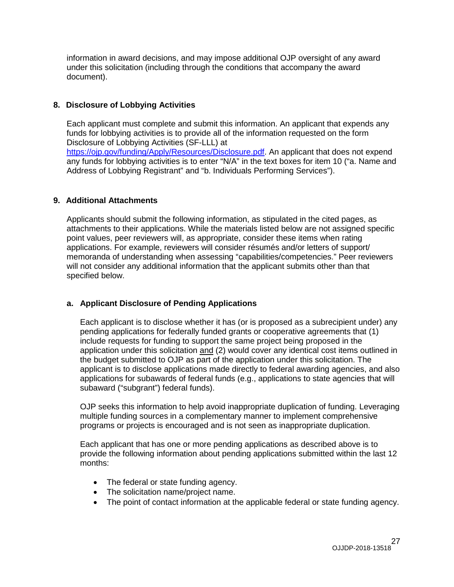information in award decisions, and may impose additional OJP oversight of any award under this solicitation (including through the conditions that accompany the award document).

#### **8. Disclosure of Lobbying Activities**

Each applicant must complete and submit this information. An applicant that expends any funds for lobbying activities is to provide all of the information requested on the form Disclosure of Lobbying Activities (SF-LLL) at [https://ojp.gov/funding/Apply/Resources/Disclosure.pdf.](https://ojp.gov/funding/Apply/Resources/Disclosure.pdf) An applicant that does not expend any funds for lobbying activities is to enter "N/A" in the text boxes for item 10 ("a. Name and Address of Lobbying Registrant" and "b. Individuals Performing Services").

## **9. Additional Attachments**

Applicants should submit the following information, as stipulated in the cited pages, as attachments to their applications. While the materials listed below are not assigned specific point values, peer reviewers will, as appropriate, consider these items when rating applications. For example, reviewers will consider résumés and/or letters of support/ memoranda of understanding when assessing "capabilities/competencies." Peer reviewers will not consider any additional information that the applicant submits other than that specified below.

# **a. Applicant Disclosure of Pending Applications**

Each applicant is to disclose whether it has (or is proposed as a subrecipient under) any pending applications for federally funded grants or cooperative agreements that (1) include requests for funding to support the same project being proposed in the application under this solicitation and (2) would cover any identical cost items outlined in the budget submitted to OJP as part of the application under this solicitation. The applicant is to disclose applications made directly to federal awarding agencies, and also applications for subawards of federal funds (e.g., applications to state agencies that will subaward ("subgrant") federal funds).

OJP seeks this information to help avoid inappropriate duplication of funding. Leveraging multiple funding sources in a complementary manner to implement comprehensive programs or projects is encouraged and is not seen as inappropriate duplication.

Each applicant that has one or more pending applications as described above is to provide the following information about pending applications submitted within the last 12 months:

- The federal or state funding agency.
- The solicitation name/project name.
- The point of contact information at the applicable federal or state funding agency.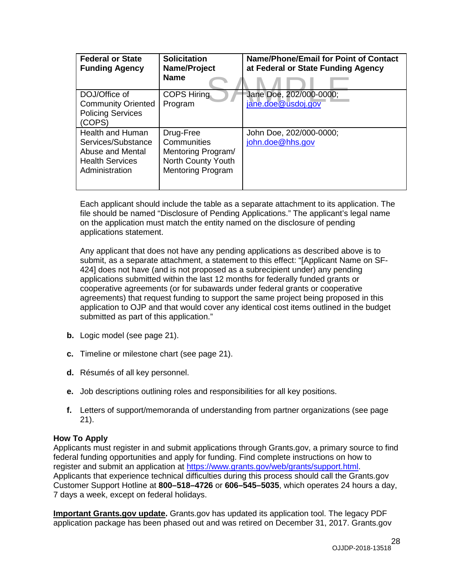| <b>Federal or State</b><br><b>Funding Agency</b>                                                              | <b>Solicitation</b><br>Name/Project<br><b>Name</b>                                               | Name/Phone/Email for Point of Contact<br>at Federal or State Funding Agency |
|---------------------------------------------------------------------------------------------------------------|--------------------------------------------------------------------------------------------------|-----------------------------------------------------------------------------|
| DOJ/Office of<br><b>Community Oriented</b><br><b>Policing Services</b><br>(COPS)                              | <b>COPS Hiring</b><br>Program                                                                    | Jane Doe, 202/000-0000;<br>jane.doe@usdoj.gov                               |
| <b>Health and Human</b><br>Services/Substance<br>Abuse and Mental<br><b>Health Services</b><br>Administration | Drug-Free<br>Communities<br>Mentoring Program/<br>North County Youth<br><b>Mentoring Program</b> | John Doe, 202/000-0000;<br>john.doe@hhs.gov                                 |

Each applicant should include the table as a separate attachment to its application. The file should be named "Disclosure of Pending Applications." The applicant's legal name on the application must match the entity named on the disclosure of pending applications statement.

Any applicant that does not have any pending applications as described above is to submit, as a separate attachment, a statement to this effect: "[Applicant Name on SF-424] does not have (and is not proposed as a subrecipient under) any pending applications submitted within the last 12 months for federally funded grants or cooperative agreements (or for subawards under federal grants or cooperative agreements) that request funding to support the same project being proposed in this application to OJP and that would cover any identical cost items outlined in the budget submitted as part of this application."

- **b.** Logic model (see page 21).
- **c.** Timeline or milestone chart (see page 21).
- **d.** Résumés of all key personnel.
- **e.** Job descriptions outlining roles and responsibilities for all key positions.
- **f.** Letters of support/memoranda of understanding from partner organizations (see page 21).

# <span id="page-27-0"></span>**How To Apply**

Applicants must register in and submit applications through Grants.gov, a primary source to find federal funding opportunities and apply for funding. Find complete instructions on how to register and submit an application at [https://www.grants.gov/web/grants/support.html.](https://www.grants.gov/web/grants/support.html) Applicants that experience technical difficulties during this process should call the Grants.gov Customer Support Hotline at **800–518–4726** or **606–545–5035**, which operates 24 hours a day, 7 days a week, except on federal holidays.

**Important Grants.gov update.** Grants.gov has updated its application tool. The legacy PDF application package has been phased out and was retired on December 31, 2017. Grants.gov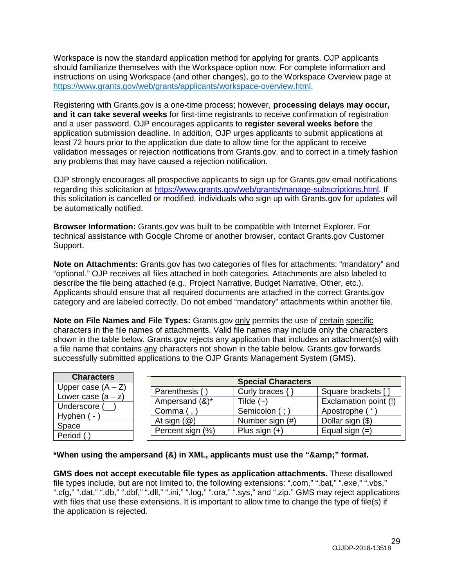Workspace is now the standard application method for applying for grants. OJP applicants should familiarize themselves with the Workspace option now. For complete information and instructions on using Workspace (and other changes), go to the Workspace Overview page at [https://www.grants.gov/web/grants/applicants/workspace-overview.html.](https://www.grants.gov/web/grants/applicants/workspace-overview.html)

Registering with Grants.gov is a one-time process; however, **processing delays may occur, and it can take several weeks** for first-time registrants to receive confirmation of registration and a user password. OJP encourages applicants to **register several weeks before** the application submission deadline. In addition, OJP urges applicants to submit applications at least 72 hours prior to the application due date to allow time for the applicant to receive validation messages or rejection notifications from Grants.gov, and to correct in a timely fashion any problems that may have caused a rejection notification.

OJP strongly encourages all prospective applicants to sign up for Grants.gov email notifications regarding this solicitation at [https://www.grants.gov/web/grants/manage-subscriptions.html.](https://www.grants.gov/web/grants/manage-subscriptions.html) If this solicitation is cancelled or modified, individuals who sign up with Grants.gov for updates will be automatically notified.

**Browser Information:** Grants.gov was built to be compatible with Internet Explorer. For technical assistance with Google Chrome or another browser, contact Grants.gov Customer Support.

**Note on Attachments:** Grants.gov has two categories of files for attachments: "mandatory" and "optional." OJP receives all files attached in both categories. Attachments are also labeled to describe the file being attached (e.g., Project Narrative, Budget Narrative, Other, etc.). Applicants should ensure that all required documents are attached in the correct Grants.gov category and are labeled correctly. Do not embed "mandatory" attachments within another file.

**Note on File Names and File Types:** Grants.gov only permits the use of certain specific characters in the file names of attachments. Valid file names may include only the characters shown in the table below. Grants.gov rejects any application that includes an attachment(s) with a file name that contains any characters not shown in the table below. Grants.gov forwards successfully submitted applications to the OJP Grants Management System (GMS).

| <b>Characters</b>    |
|----------------------|
| Upper case $(A - Z)$ |
| Lower case $(a - z)$ |
| Underscore (         |
| Hyphen (-)           |
| Space                |
| Period (.)           |

| <b>Special Characters</b> |                  |                       |  |
|---------------------------|------------------|-----------------------|--|
| Parenthesis ()            | Curly braces { } | Square brackets []    |  |
| Ampersand (&)*            | Tilde $(-)$      | Exclamation point (!) |  |
| Comma (,                  | Semicolon (; )   | Apostrophe (          |  |
| At sign $(\mathcal{Q})$   | Number sign (#)  | Dollar sign (\$)      |  |
| Percent sign (%)          | Plus sign $(+)$  | Equal sign $(=)$      |  |

# \*When using the ampersand (&) in XML, applicants must use the "&" format.

**GMS does not accept executable file types as application attachments.** These disallowed file types include, but are not limited to, the following extensions: ".com," ".bat," ".exe," ".vbs," ".cfg," ".dat," ".db," ".dbf," ".dll," ".ini," ".log," ".ora," ".sys," and ".zip." GMS may reject applications with files that use these extensions. It is important to allow time to change the type of file(s) if the application is rejected.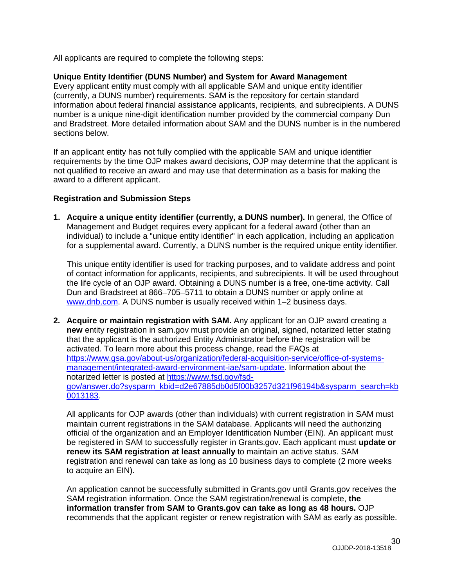All applicants are required to complete the following steps:

#### **Unique Entity Identifier (DUNS Number) and System for Award Management**

Every applicant entity must comply with all applicable SAM and unique entity identifier (currently, a DUNS number) requirements. SAM is the repository for certain standard information about federal financial assistance applicants, recipients, and subrecipients. A DUNS number is a unique nine-digit identification number provided by the commercial company Dun and Bradstreet. More detailed information about SAM and the DUNS number is in the numbered sections below.

If an applicant entity has not fully complied with the applicable SAM and unique identifier requirements by the time OJP makes award decisions, OJP may determine that the applicant is not qualified to receive an award and may use that determination as a basis for making the award to a different applicant.

#### **Registration and Submission Steps**

**1. Acquire a unique entity identifier (currently, a DUNS number).** In general, the Office of Management and Budget requires every applicant for a federal award (other than an individual) to include a "unique entity identifier" in each application, including an application for a supplemental award. Currently, a DUNS number is the required unique entity identifier.

This unique entity identifier is used for tracking purposes, and to validate address and point of contact information for applicants, recipients, and subrecipients. It will be used throughout the life cycle of an OJP award. Obtaining a DUNS number is a free, one-time activity. Call Dun and Bradstreet at 866–705–5711 to obtain a DUNS number or apply online at [www.dnb.com.](http://www.dnb.com/) A DUNS number is usually received within 1–2 business days.

**2. Acquire or maintain registration with SAM.** Any applicant for an OJP award creating a **new** entity registration in sam.gov must provide an original, signed, notarized letter stating that the applicant is the authorized Entity Administrator before the registration will be activated. To learn more about this process change, read the FAQs at [https://www.gsa.gov/about-us/organization/federal-acquisition-service/office-of-systems](https://www.gsa.gov/about-us/organization/federal-acquisition-service/office-of-systems-management/integrated-award-environment-iae/sam-update)[management/integrated-award-environment-iae/sam-update.](https://www.gsa.gov/about-us/organization/federal-acquisition-service/office-of-systems-management/integrated-award-environment-iae/sam-update) Information about the notarized letter is posted at [https://www.fsd.gov/fsd](https://www.fsd.gov/fsd-gov/answer.do?sysparm_kbid=d2e67885db0d5f00b3257d321f96194b&sysparm_search=kb0013183)[gov/answer.do?sysparm\\_kbid=d2e67885db0d5f00b3257d321f96194b&sysparm\\_search=kb](https://www.fsd.gov/fsd-gov/answer.do?sysparm_kbid=d2e67885db0d5f00b3257d321f96194b&sysparm_search=kb0013183) [0013183.](https://www.fsd.gov/fsd-gov/answer.do?sysparm_kbid=d2e67885db0d5f00b3257d321f96194b&sysparm_search=kb0013183)

All applicants for OJP awards (other than individuals) with current registration in SAM must maintain current registrations in the SAM database. Applicants will need the authorizing official of the organization and an Employer Identification Number (EIN). An applicant must be registered in SAM to successfully register in Grants.gov. Each applicant must **update or renew its SAM registration at least annually** to maintain an active status. SAM registration and renewal can take as long as 10 business days to complete (2 more weeks to acquire an EIN).

An application cannot be successfully submitted in Grants.gov until Grants.gov receives the SAM registration information. Once the SAM registration/renewal is complete, **the information transfer from SAM to Grants.gov can take as long as 48 hours.** OJP recommends that the applicant register or renew registration with SAM as early as possible.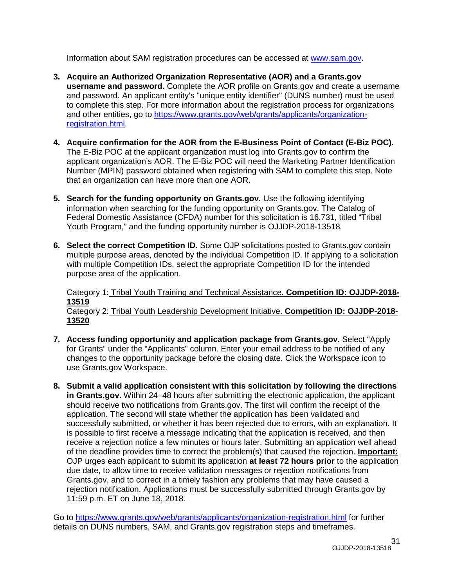Information about SAM registration procedures can be accessed at [www.sam.gov.](http://www.sam.gov/)

- **3. Acquire an Authorized Organization Representative (AOR) and a Grants.gov username and password.** Complete the AOR profile on Grants.gov and create a username and password. An applicant entity's "unique entity identifier" (DUNS number) must be used to complete this step. For more information about the registration process for organizations and other entities, go to [https://www.grants.gov/web/grants/applicants/organization](https://www.grants.gov/web/grants/applicants/organization-registration.html)[registration.html.](https://www.grants.gov/web/grants/applicants/organization-registration.html)
- **4. Acquire confirmation for the AOR from the E-Business Point of Contact (E-Biz POC).** The E-Biz POC at the applicant organization must log into Grants.gov to confirm the applicant organization's AOR. The E-Biz POC will need the Marketing Partner Identification Number (MPIN) password obtained when registering with SAM to complete this step. Note that an organization can have more than one AOR.
- **5. Search for the funding opportunity on Grants.gov.** Use the following identifying information when searching for the funding opportunity on Grants.gov. The Catalog of Federal Domestic Assistance (CFDA) number for this solicitation is 16.731, titled "Tribal Youth Program," and the funding opportunity number is OJJDP-2018-13518*.*
- **6. Select the correct Competition ID.** Some OJP solicitations posted to Grants.gov contain multiple purpose areas, denoted by the individual Competition ID. If applying to a solicitation with multiple Competition IDs, select the appropriate Competition ID for the intended purpose area of the application.

Category 1: Tribal Youth Training and Technical Assistance. **Competition ID: OJJDP-2018- 13519** Category 2: Tribal Youth Leadership Development Initiative. **Competition ID: OJJDP-2018- 13520** 

- **7. Access funding opportunity and application package from Grants.gov.** Select "Apply for Grants" under the "Applicants" column. Enter your email address to be notified of any changes to the opportunity package before the closing date. Click the Workspace icon to use Grants.gov Workspace.
- **8. Submit a valid application consistent with this solicitation by following the directions in Grants.gov.** Within 24–48 hours after submitting the electronic application, the applicant should receive two notifications from Grants.gov. The first will confirm the receipt of the application. The second will state whether the application has been validated and successfully submitted, or whether it has been rejected due to errors, with an explanation. It is possible to first receive a message indicating that the application is received, and then receive a rejection notice a few minutes or hours later. Submitting an application well ahead of the deadline provides time to correct the problem(s) that caused the rejection. **Important:** OJP urges each applicant to submit its application **at least 72 hours prior** to the application due date, to allow time to receive validation messages or rejection notifications from Grants.gov, and to correct in a timely fashion any problems that may have caused a rejection notification. Applications must be successfully submitted through Grants.gov by 11:59 p.m. ET on June 18, 2018.

Go to<https://www.grants.gov/web/grants/applicants/organization-registration.html> for further details on DUNS numbers, SAM, and Grants.gov registration steps and timeframes.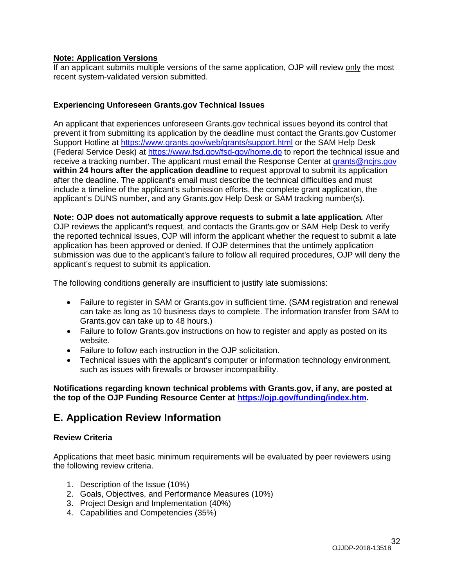#### **Note: Application Versions**

If an applicant submits multiple versions of the same application, OJP will review only the most recent system-validated version submitted.

#### **Experiencing Unforeseen Grants.gov Technical Issues**

An applicant that experiences unforeseen Grants.gov technical issues beyond its control that prevent it from submitting its application by the deadline must contact the Grants.gov Customer Support Hotline at<https://www.grants.gov/web/grants/support.html> or the SAM Help Desk (Federal Service Desk) at<https://www.fsd.gov/fsd-gov/home.do> to report the technical issue and receive a tracking number. The applicant must email the Response Center at [grants@ncjrs.gov](mailto:grants@ncjrs.gov) **within 24 hours after the application deadline** to request approval to submit its application after the deadline. The applicant's email must describe the technical difficulties and must include a timeline of the applicant's submission efforts, the complete grant application, the applicant's DUNS number, and any Grants.gov Help Desk or SAM tracking number(s).

**Note: OJP does not automatically approve requests to submit a late application***.* After OJP reviews the applicant's request, and contacts the Grants.gov or SAM Help Desk to verify the reported technical issues, OJP will inform the applicant whether the request to submit a late application has been approved or denied. If OJP determines that the untimely application submission was due to the applicant's failure to follow all required procedures, OJP will deny the applicant's request to submit its application.

The following conditions generally are insufficient to justify late submissions:

- Failure to register in SAM or Grants.gov in sufficient time. (SAM registration and renewal can take as long as 10 business days to complete. The information transfer from SAM to Grants.gov can take up to 48 hours.)
- Failure to follow Grants.gov instructions on how to register and apply as posted on its website.
- Failure to follow each instruction in the OJP solicitation.
- Technical issues with the applicant's computer or information technology environment, such as issues with firewalls or browser incompatibility.

**Notifications regarding known technical problems with Grants.gov, if any, are posted at the top of the OJP Funding Resource Center at [https://ojp.gov/funding/index.htm.](https://ojp.gov/funding/index.htm)**

# <span id="page-31-0"></span>**E. Application Review Information**

#### <span id="page-31-1"></span>**Review Criteria**

Applications that meet basic minimum requirements will be evaluated by peer reviewers using the following review criteria.

- 1. Description of the Issue (10%)
- 2. Goals, Objectives, and Performance Measures (10%)
- 3. Project Design and Implementation (40%)
- 4. Capabilities and Competencies (35%)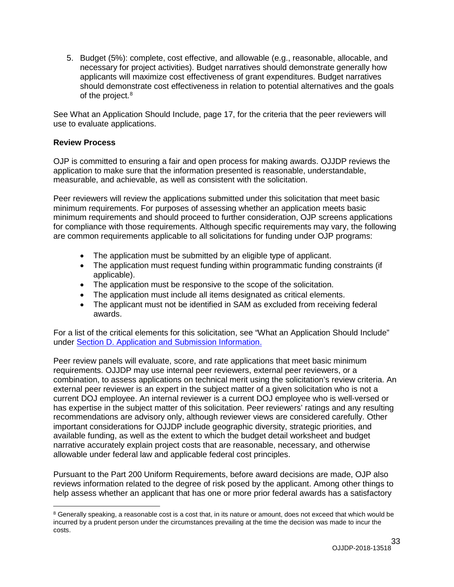5. Budget (5%): complete, cost effective, and allowable (e.g., reasonable, allocable, and necessary for project activities). Budget narratives should demonstrate generally how applicants will maximize cost effectiveness of grant expenditures. Budget narratives should demonstrate cost effectiveness in relation to potential alternatives and the goals of the project. [8](#page-32-1)

See What an Application Should Include, page 17, for the criteria that the peer reviewers will use to evaluate applications.

#### <span id="page-32-0"></span>**Review Process**

OJP is committed to ensuring a fair and open process for making awards. OJJDP reviews the application to make sure that the information presented is reasonable, understandable, measurable, and achievable, as well as consistent with the solicitation.

Peer reviewers will review the applications submitted under this solicitation that meet basic minimum requirements. For purposes of assessing whether an application meets basic minimum requirements and should proceed to further consideration, OJP screens applications for compliance with those requirements. Although specific requirements may vary, the following are common requirements applicable to all solicitations for funding under OJP programs:

- The application must be submitted by an eligible type of applicant.
- The application must request funding within programmatic funding constraints (if applicable).
- The application must be responsive to the scope of the solicitation.
- The application must include all items designated as critical elements.
- The applicant must not be identified in SAM as excluded from receiving federal awards.

For a list of the critical elements for this solicitation, see "What an Application Should Include" under [Section D. Application and Submission Information.](#page-15-0)

Peer review panels will evaluate, score, and rate applications that meet basic minimum requirements. OJJDP may use internal peer reviewers, external peer reviewers, or a combination, to assess applications on technical merit using the solicitation's review criteria. An external peer reviewer is an expert in the subject matter of a given solicitation who is not a current DOJ employee. An internal reviewer is a current DOJ employee who is well-versed or has expertise in the subject matter of this solicitation. Peer reviewers' ratings and any resulting recommendations are advisory only, although reviewer views are considered carefully. Other important considerations for OJJDP include geographic diversity, strategic priorities, and available funding, as well as the extent to which the budget detail worksheet and budget narrative accurately explain project costs that are reasonable, necessary, and otherwise allowable under federal law and applicable federal cost principles.

Pursuant to the Part 200 Uniform Requirements, before award decisions are made, OJP also reviews information related to the degree of risk posed by the applicant. Among other things to help assess whether an applicant that has one or more prior federal awards has a satisfactory

<span id="page-32-1"></span><sup>&</sup>lt;sup>8</sup> Generally speaking, a reasonable cost is a cost that, in its nature or amount, does not exceed that which would be incurred by a prudent person under the circumstances prevailing at the time the decision was made to incur the costs.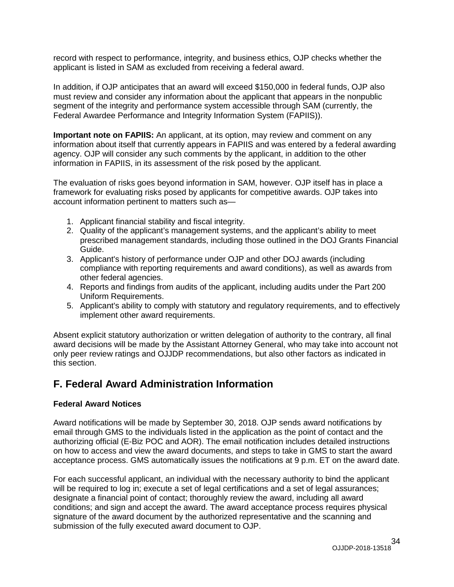record with respect to performance, integrity, and business ethics, OJP checks whether the applicant is listed in SAM as excluded from receiving a federal award.

In addition, if OJP anticipates that an award will exceed \$150,000 in federal funds, OJP also must review and consider any information about the applicant that appears in the nonpublic segment of the integrity and performance system accessible through SAM (currently, the Federal Awardee Performance and Integrity Information System (FAPIIS)).

**Important note on FAPIIS:** An applicant, at its option, may review and comment on any information about itself that currently appears in FAPIIS and was entered by a federal awarding agency. OJP will consider any such comments by the applicant, in addition to the other information in FAPIIS, in its assessment of the risk posed by the applicant.

The evaluation of risks goes beyond information in SAM, however. OJP itself has in place a framework for evaluating risks posed by applicants for competitive awards. OJP takes into account information pertinent to matters such as—

- 1. Applicant financial stability and fiscal integrity.
- 2. Quality of the applicant's management systems, and the applicant's ability to meet prescribed management standards, including those outlined in the DOJ Grants Financial Guide.
- 3. Applicant's history of performance under OJP and other DOJ awards (including compliance with reporting requirements and award conditions), as well as awards from other federal agencies.
- 4. Reports and findings from audits of the applicant, including audits under the Part 200 Uniform Requirements.
- 5. Applicant's ability to comply with statutory and regulatory requirements, and to effectively implement other award requirements.

Absent explicit statutory authorization or written delegation of authority to the contrary, all final award decisions will be made by the Assistant Attorney General, who may take into account not only peer review ratings and OJJDP recommendations, but also other factors as indicated in this section.

# <span id="page-33-0"></span>**F. Federal Award Administration Information**

# <span id="page-33-1"></span>**Federal Award Notices**

Award notifications will be made by September 30, 2018. OJP sends award notifications by email through GMS to the individuals listed in the application as the point of contact and the authorizing official (E-Biz POC and AOR). The email notification includes detailed instructions on how to access and view the award documents, and steps to take in GMS to start the award acceptance process. GMS automatically issues the notifications at 9 p.m. ET on the award date.

For each successful applicant, an individual with the necessary authority to bind the applicant will be required to log in; execute a set of legal certifications and a set of legal assurances; designate a financial point of contact; thoroughly review the award, including all award conditions; and sign and accept the award. The award acceptance process requires physical signature of the award document by the authorized representative and the scanning and submission of the fully executed award document to OJP.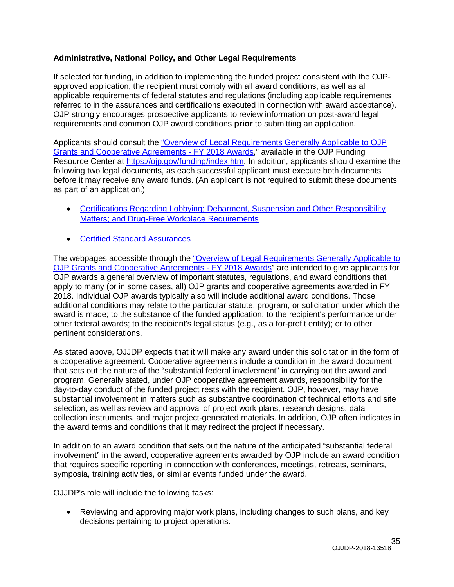## <span id="page-34-0"></span>**Administrative, National Policy, and Other Legal Requirements**

If selected for funding, in addition to implementing the funded project consistent with the OJPapproved application, the recipient must comply with all award conditions, as well as all applicable requirements of federal statutes and regulations (including applicable requirements referred to in the assurances and certifications executed in connection with award acceptance). OJP strongly encourages prospective applicants to review information on post-award legal requirements and common OJP award conditions **prior** to submitting an application.

Applicants should consult the "Overview of Legal Requirements [Generally Applicable to OJP](https://ojp.gov/funding/Explore/LegalOverview/index.htm) [Grants and Cooperative Agreements -](https://ojp.gov/funding/Explore/LegalOverview/index.htm) FY 2018 Awards," available in the OJP Funding Resource Center at [https://ojp.gov/funding/index.htm.](https://ojp.gov/funding/index.htm) In addition, applicants should examine the following two legal documents, as each successful applicant must execute both documents before it may receive any award funds. (An applicant is not required to submit these documents as part of an application.)

- Certifications Regarding [Lobbying; Debarment, Suspension and Other Responsibility](https://ojp.gov/funding/Apply/Resources/Certifications.pdf) [Matters; and Drug-Free Workplace Requirements](https://ojp.gov/funding/Apply/Resources/Certifications.pdf)
- Certified [Standard Assurances](https://ojp.gov/funding/Apply/Resources/StandardAssurances.pdf)

The webpages accessible through the "Overview of Legal Requirements [Generally Applicable to](https://ojp.gov/funding/Explore/LegalOverview/index.htm)  [OJP Grants and Cooperative Agreements -](https://ojp.gov/funding/Explore/LegalOverview/index.htm) FY 2018 Awards" are intended to give applicants for OJP awards a general overview of important statutes, regulations, and award conditions that apply to many (or in some cases, all) OJP grants and cooperative agreements awarded in FY 2018. Individual OJP awards typically also will include additional award conditions. Those additional conditions may relate to the particular statute, program, or solicitation under which the award is made; to the substance of the funded application; to the recipient's performance under other federal awards; to the recipient's legal status (e.g., as a for-profit entity); or to other pertinent considerations.

As stated above, OJJDP expects that it will make any award under this solicitation in the form of a cooperative agreement. Cooperative agreements include a condition in the award document that sets out the nature of the "substantial federal involvement" in carrying out the award and program. Generally stated, under OJP cooperative agreement awards, responsibility for the day-to-day conduct of the funded project rests with the recipient. OJP, however, may have substantial involvement in matters such as substantive coordination of technical efforts and site selection, as well as review and approval of project work plans, research designs, data collection instruments, and major project-generated materials. In addition, OJP often indicates in the award terms and conditions that it may redirect the project if necessary.

In addition to an award condition that sets out the nature of the anticipated "substantial federal involvement" in the award, cooperative agreements awarded by OJP include an award condition that requires specific reporting in connection with conferences, meetings, retreats, seminars, symposia, training activities, or similar events funded under the award.

OJJDP's role will include the following tasks:

• Reviewing and approving major work plans, including changes to such plans, and key decisions pertaining to project operations.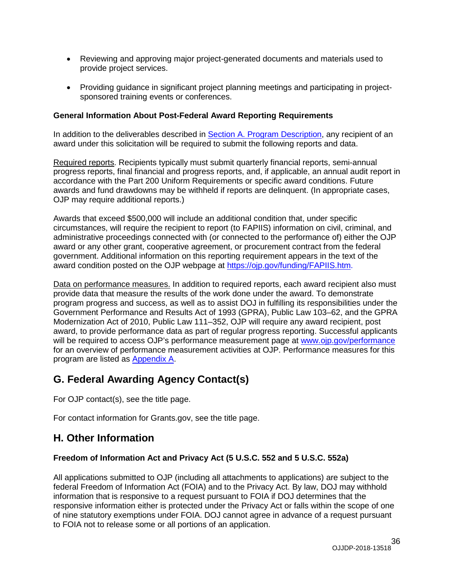- Reviewing and approving major project-generated documents and materials used to provide project services.
- Providing guidance in significant project planning meetings and participating in projectsponsored training events or conferences.

## <span id="page-35-0"></span>**General Information About Post-Federal Award Reporting Requirements**

In addition to the deliverables described in Section [A. Program Description,](#page-4-0) any recipient of an award under this solicitation will be required to submit the following reports and data.

Required reports. Recipients typically must submit quarterly financial reports, semi-annual progress reports, final financial and progress reports, and, if applicable, an annual audit report in accordance with the Part 200 Uniform Requirements or specific award conditions. Future awards and fund drawdowns may be withheld if reports are delinquent. (In appropriate cases, OJP may require additional reports.)

Awards that exceed \$500,000 will include an additional condition that, under specific circumstances, will require the recipient to report (to FAPIIS) information on civil, criminal, and administrative proceedings connected with (or connected to the performance of) either the OJP award or any other grant, cooperative agreement, or procurement contract from the federal government. Additional information on this reporting requirement appears in the text of the award condition posted on the OJP webpage at [https://ojp.gov/funding/FAPIIS.htm.](https://ojp.gov/funding/FAPIIS.htm)

Data on performance measures. In addition to required reports, each award recipient also must provide data that measure the results of the work done under the award. To demonstrate program progress and success, as well as to assist DOJ in fulfilling its responsibilities under the Government Performance and Results Act of 1993 (GPRA), Public Law 103–62, and the GPRA Modernization Act of 2010, Public Law 111–352, OJP will require any award recipient, post award, to provide performance data as part of regular progress reporting. Successful applicants will be required to access OJP's performance measurement page at [www.ojp.gov/performance](file://ojpcifs08/oaam/GRANTS%20MANAGEMENT%20DIVISION/Solicitations/Work%20Groups/2018/December%20Changes/www.ojp.gov/performance) for an overview of performance measurement activities at OJP. Performance measures for this program are listed as [Appendix A.](#page-37-0)

# <span id="page-35-1"></span>**G. Federal Awarding Agency Contact(s)**

For OJP contact(s), see the title page.

For contact information for Grants.gov, see the title page.

# <span id="page-35-2"></span>**H. Other Information**

# <span id="page-35-3"></span>**Freedom of Information Act and Privacy Act (5 U.S.C. 552 and 5 U.S.C. 552a)**

All applications submitted to OJP (including all attachments to applications) are subject to the federal Freedom of Information Act (FOIA) and to the Privacy Act. By law, DOJ may withhold information that is responsive to a request pursuant to FOIA if DOJ determines that the responsive information either is protected under the Privacy Act or falls within the scope of one of nine statutory exemptions under FOIA. DOJ cannot agree in advance of a request pursuant to FOIA not to release some or all portions of an application.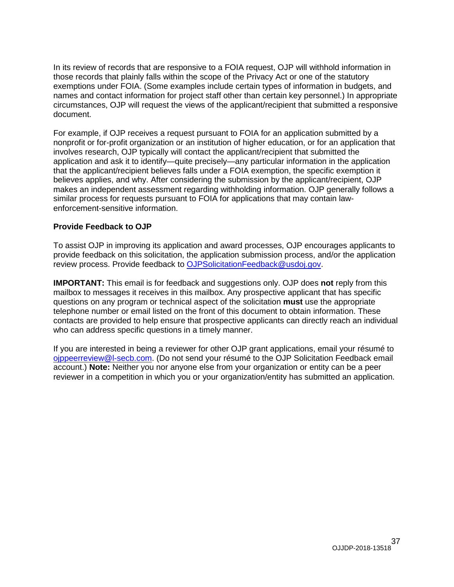In its review of records that are responsive to a FOIA request, OJP will withhold information in those records that plainly falls within the scope of the Privacy Act or one of the statutory exemptions under FOIA. (Some examples include certain types of information in budgets, and names and contact information for project staff other than certain key personnel.) In appropriate circumstances, OJP will request the views of the applicant/recipient that submitted a responsive document.

For example, if OJP receives a request pursuant to FOIA for an application submitted by a nonprofit or for-profit organization or an institution of higher education, or for an application that involves research, OJP typically will contact the applicant/recipient that submitted the application and ask it to identify—quite precisely—any particular information in the application that the applicant/recipient believes falls under a FOIA exemption, the specific exemption it believes applies, and why. After considering the submission by the applicant/recipient, OJP makes an independent assessment regarding withholding information. OJP generally follows a similar process for requests pursuant to FOIA for applications that may contain lawenforcement-sensitive information.

## <span id="page-36-0"></span>**Provide Feedback to OJP**

To assist OJP in improving its application and award processes, OJP encourages applicants to provide feedback on this solicitation, the application submission process, and/or the application review process. Provide feedback to [OJPSolicitationFeedback@usdoj.gov.](mailto:OJPSolicitationFeedback@usdoj.gov)

**IMPORTANT:** This email is for feedback and suggestions only. OJP does **not** reply from this mailbox to messages it receives in this mailbox. Any prospective applicant that has specific questions on any program or technical aspect of the solicitation **must** use the appropriate telephone number or email listed on the front of this document to obtain information. These contacts are provided to help ensure that prospective applicants can directly reach an individual who can address specific questions in a timely manner.

If you are interested in being a reviewer for other OJP grant applications, email your résumé to [ojppeerreview@l-secb.com.](mailto:ojppeerreview@l-secb.com) (Do not send your résumé to the OJP Solicitation Feedback email account.) **Note:** Neither you nor anyone else from your organization or entity can be a peer reviewer in a competition in which you or your organization/entity has submitted an application.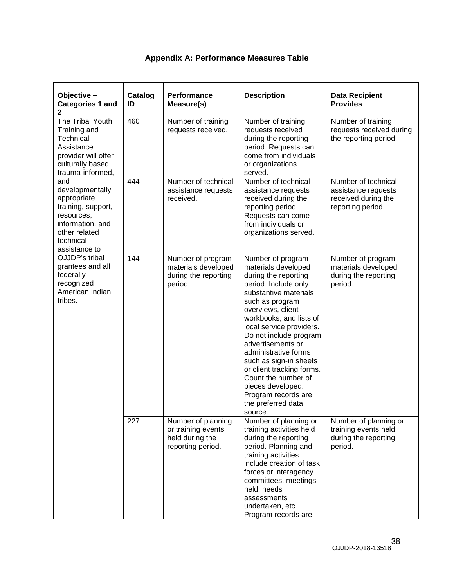|  |  | Appendix A: Performance Measures Table |  |  |
|--|--|----------------------------------------|--|--|
|--|--|----------------------------------------|--|--|

<span id="page-37-0"></span>

| Objective -<br><b>Categories 1 and</b><br>$\mathbf 2$                                                                                                                                                                                                                                                                                                                      | Catalog<br>ID | Performance<br>Measure(s)                                                        | <b>Description</b>                                                                                                                                                                                                                                                                                                                                                                                                                                 | <b>Data Recipient</b><br><b>Provides</b>                                               |
|----------------------------------------------------------------------------------------------------------------------------------------------------------------------------------------------------------------------------------------------------------------------------------------------------------------------------------------------------------------------------|---------------|----------------------------------------------------------------------------------|----------------------------------------------------------------------------------------------------------------------------------------------------------------------------------------------------------------------------------------------------------------------------------------------------------------------------------------------------------------------------------------------------------------------------------------------------|----------------------------------------------------------------------------------------|
| The Tribal Youth<br>Training and<br>Technical<br>Assistance<br>provider will offer<br>culturally based,<br>trauma-informed,<br>and<br>developmentally<br>appropriate<br>training, support,<br>resources,<br>information, and<br>other related<br>technical<br>assistance to<br>OJJDP's tribal<br>grantees and all<br>federally<br>recognized<br>American Indian<br>tribes. | 460           | Number of training<br>requests received.                                         | Number of training<br>requests received<br>during the reporting<br>period. Requests can<br>come from individuals<br>or organizations<br>served.                                                                                                                                                                                                                                                                                                    | Number of training<br>requests received during<br>the reporting period.                |
|                                                                                                                                                                                                                                                                                                                                                                            | 444           | Number of technical<br>assistance requests<br>received.                          | Number of technical<br>assistance requests<br>received during the<br>reporting period.<br>Requests can come<br>from individuals or<br>organizations served.                                                                                                                                                                                                                                                                                        | Number of technical<br>assistance requests<br>received during the<br>reporting period. |
|                                                                                                                                                                                                                                                                                                                                                                            | 144           | Number of program<br>materials developed<br>during the reporting<br>period.      | Number of program<br>materials developed<br>during the reporting<br>period. Include only<br>substantive materials<br>such as program<br>overviews, client<br>workbooks, and lists of<br>local service providers.<br>Do not include program<br>advertisements or<br>administrative forms<br>such as sign-in sheets<br>or client tracking forms.<br>Count the number of<br>pieces developed.<br>Program records are<br>the preferred data<br>source. | Number of program<br>materials developed<br>during the reporting<br>period.            |
|                                                                                                                                                                                                                                                                                                                                                                            | 227           | Number of planning<br>or training events<br>held during the<br>reporting period. | Number of planning or<br>training activities held<br>during the reporting<br>period. Planning and<br>training activities<br>include creation of task<br>forces or interagency<br>committees, meetings<br>held, needs<br>assessments<br>undertaken, etc.<br>Program records are                                                                                                                                                                     | Number of planning or<br>training events held<br>during the reporting<br>period.       |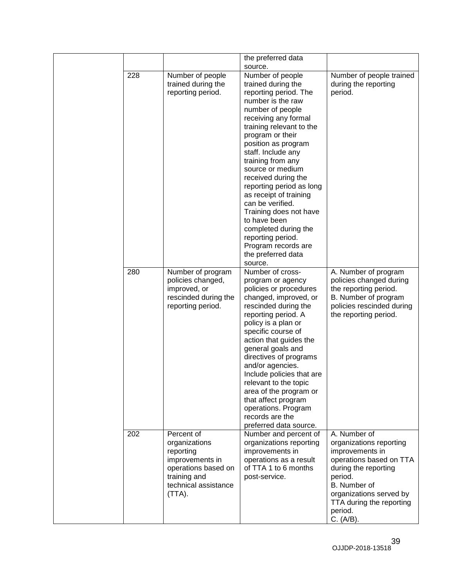|     |                                                                                                                                         | the preferred data<br>source.                                                                                                                                                                                                                                                                                                                                                                                                                                                                                          |                                                                                                                                                                                                                         |
|-----|-----------------------------------------------------------------------------------------------------------------------------------------|------------------------------------------------------------------------------------------------------------------------------------------------------------------------------------------------------------------------------------------------------------------------------------------------------------------------------------------------------------------------------------------------------------------------------------------------------------------------------------------------------------------------|-------------------------------------------------------------------------------------------------------------------------------------------------------------------------------------------------------------------------|
| 228 | Number of people<br>trained during the<br>reporting period.                                                                             | Number of people<br>trained during the<br>reporting period. The<br>number is the raw<br>number of people<br>receiving any formal<br>training relevant to the<br>program or their<br>position as program<br>staff. Include any<br>training from any<br>source or medium<br>received during the<br>reporting period as long<br>as receipt of training<br>can be verified.<br>Training does not have<br>to have been<br>completed during the<br>reporting period.<br>Program records are<br>the preferred data<br>source. | Number of people trained<br>during the reporting<br>period.                                                                                                                                                             |
| 280 | Number of program<br>policies changed,<br>improved, or<br>rescinded during the<br>reporting period.                                     | Number of cross-<br>program or agency<br>policies or procedures<br>changed, improved, or<br>rescinded during the<br>reporting period. A<br>policy is a plan or<br>specific course of<br>action that guides the<br>general goals and<br>directives of programs<br>and/or agencies.<br>Include policies that are<br>relevant to the topic<br>area of the program or<br>that affect program<br>operations. Program<br>records are the<br>preferred data source.                                                           | A. Number of program<br>policies changed during<br>the reporting period.<br>B. Number of program<br>policies rescinded during<br>the reporting period.                                                                  |
| 202 | Percent of<br>organizations<br>reporting<br>improvements in<br>operations based on<br>training and<br>technical assistance<br>$(TTA)$ . | Number and percent of<br>organizations reporting<br>improvements in<br>operations as a result<br>of TTA 1 to 6 months<br>post-service.                                                                                                                                                                                                                                                                                                                                                                                 | A. Number of<br>organizations reporting<br>improvements in<br>operations based on TTA<br>during the reporting<br>period.<br>B. Number of<br>organizations served by<br>TTA during the reporting<br>period.<br>C. (A/B). |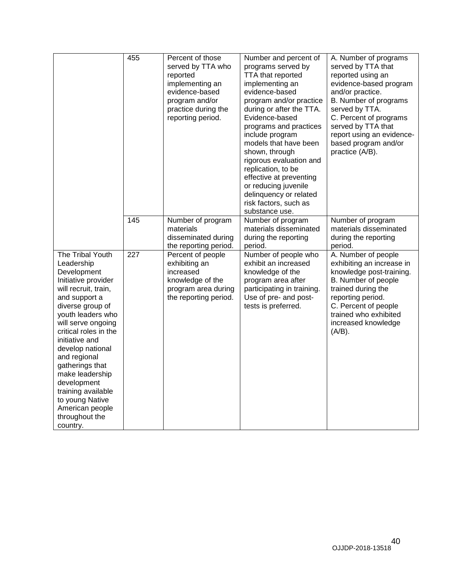<span id="page-39-0"></span>

|                                                                                                                                                                                                                                                                                                                                                                                                            | 455 | Percent of those<br>served by TTA who<br>reported<br>implementing an<br>evidence-based<br>program and/or<br>practice during the<br>reporting period. | Number and percent of<br>programs served by<br>TTA that reported<br>implementing an<br>evidence-based<br>program and/or practice<br>during or after the TTA.<br>Evidence-based<br>programs and practices<br>include program<br>models that have been<br>shown, through<br>rigorous evaluation and<br>replication, to be<br>effective at preventing<br>or reducing juvenile<br>delinquency or related<br>risk factors, such as<br>substance use. | A. Number of programs<br>served by TTA that<br>reported using an<br>evidence-based program<br>and/or practice.<br>B. Number of programs<br>served by TTA.<br>C. Percent of programs<br>served by TTA that<br>report using an evidence-<br>based program and/or<br>practice (A/B). |
|------------------------------------------------------------------------------------------------------------------------------------------------------------------------------------------------------------------------------------------------------------------------------------------------------------------------------------------------------------------------------------------------------------|-----|------------------------------------------------------------------------------------------------------------------------------------------------------|-------------------------------------------------------------------------------------------------------------------------------------------------------------------------------------------------------------------------------------------------------------------------------------------------------------------------------------------------------------------------------------------------------------------------------------------------|-----------------------------------------------------------------------------------------------------------------------------------------------------------------------------------------------------------------------------------------------------------------------------------|
|                                                                                                                                                                                                                                                                                                                                                                                                            | 145 | Number of program<br>materials<br>disseminated during<br>the reporting period.                                                                       | Number of program<br>materials disseminated<br>during the reporting<br>period.                                                                                                                                                                                                                                                                                                                                                                  | Number of program<br>materials disseminated<br>during the reporting<br>period.                                                                                                                                                                                                    |
| The Tribal Youth<br>Leadership<br>Development<br>Initiative provider<br>will recruit, train,<br>and support a<br>diverse group of<br>youth leaders who<br>will serve ongoing<br>critical roles in the<br>initiative and<br>develop national<br>and regional<br>gatherings that<br>make leadership<br>development<br>training available<br>to young Native<br>American people<br>throughout the<br>country. | 227 | Percent of people<br>exhibiting an<br>increased<br>knowledge of the<br>program area during<br>the reporting period.                                  | Number of people who<br>exhibit an increased<br>knowledge of the<br>program area after<br>participating in training.<br>Use of pre- and post-<br>tests is preferred.                                                                                                                                                                                                                                                                            | A. Number of people<br>exhibiting an increase in<br>knowledge post-training.<br>B. Number of people<br>trained during the<br>reporting period.<br>C. Percent of people<br>trained who exhibited<br>increased knowledge<br>$(A/B)$ .                                               |